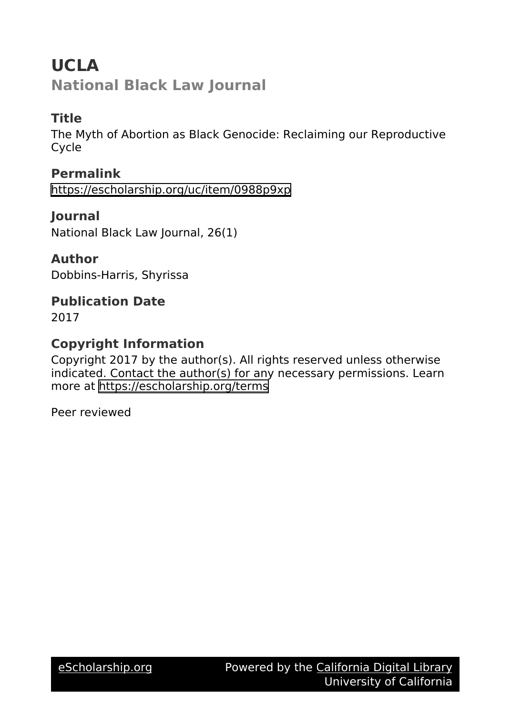# **UCLA National Black Law Journal**

# **Title**

The Myth of Abortion as Black Genocide: Reclaiming our Reproductive Cycle

**Permalink** <https://escholarship.org/uc/item/0988p9xp>

**Journal** National Black Law Journal, 26(1)

**Author** Dobbins-Harris, Shyrissa

**Publication Date** 2017

## **Copyright Information**

Copyright 2017 by the author(s). All rights reserved unless otherwise indicated. Contact the author(s) for any necessary permissions. Learn more at <https://escholarship.org/terms>

Peer reviewed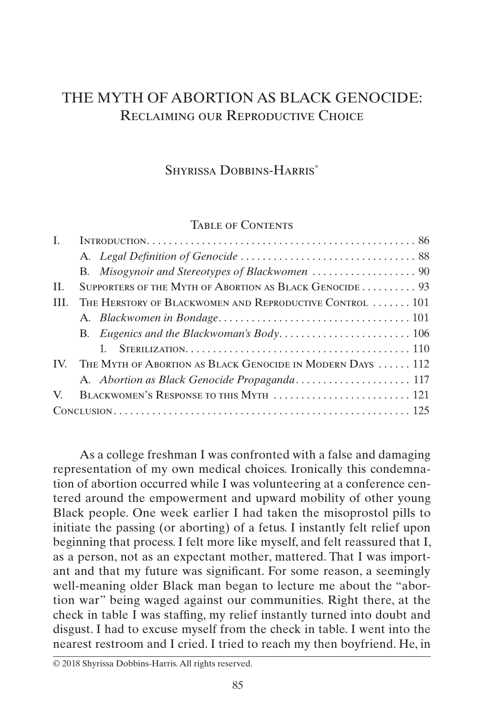## THE MYTH OF ABORTION AS BLACK GENOCIDE: RECLAIMING OUR REPRODUCTIVE CHOICE

### SHYRISSA DOBBINS-HARRIS<sup>\*</sup>

#### <span id="page-1-0"></span>Table of Contents

| SUPPORTERS OF THE MYTH OF ABORTION AS BLACK GENOCIDE 93<br>H.   |  |
|-----------------------------------------------------------------|--|
|                                                                 |  |
|                                                                 |  |
|                                                                 |  |
| THE HERSTORY OF BLACKWOMEN AND REPRODUCTIVE CONTROL  101<br>HL. |  |
|                                                                 |  |
|                                                                 |  |
|                                                                 |  |
| IV. THE MYTH OF ABORTION AS BLACK GENOCIDE IN MODERN DAYS  112  |  |
|                                                                 |  |
| BLACKWOMEN'S RESPONSE TO THIS MYTH  121<br>V                    |  |
| $Conve$ and $125$                                               |  |

As a college freshman I was confronted with a false and damaging representation of my own medical choices. Ironically this condemnation of abortion occurred while I was volunteering at a conference centered around the empowerment and upward mobility of other young Black people. One week earlier I had taken the misoprostol pills to initiate the passing (or aborting) of a fetus. I instantly felt relief upon beginning that process. I felt more like myself, and felt reassured that I, as a person, not as an expectant mother, mattered. That I was important and that my future was significant. For some reason, a seemingly well-meaning older Black man began to lecture me about the "abortion war" being waged against our communities. Right there, at the check in table I was staffing, my relief instantly turned into doubt and disgust. I had to excuse myself from the check in table. I went into the nearest restroom and I cried. I tried to reach my then boyfriend. He, in

© 2018 Shyrissa Dobbins-Harris. All rights reserved.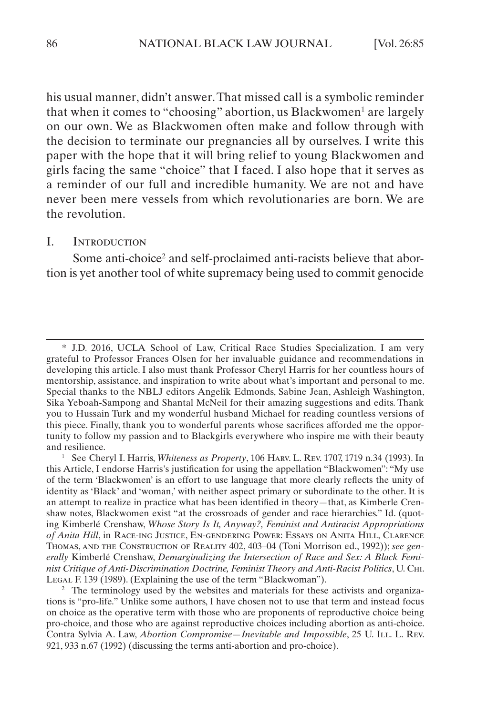<span id="page-2-0"></span>his usual manner, didn't answer. That missed call is a symbolic reminder that when it comes to "choosing" abortion, us Blackwomen<sup>1</sup> are largely on our own. We as Blackwomen often make and follow through with the decision to terminate our pregnancies all by ourselves. I write this paper with the hope that it will bring relief to young Blackwomen and girls facing the same "choice" that I faced. I also hope that it serves as a reminder of our full and incredible humanity. We are not and have never been mere vessels from which revolutionaries are born. We are the revolution.

#### I. Introduction

Some anti-choice<sup>2</sup> and self-proclaimed anti-racists believe that abortion is yet another tool of white supremacy being used to commit genocide

<sup>\*</sup> J.D. 2016, UCLA School of Law, Critical Race Studies Specialization. I am very grateful to Professor Frances Olsen for her invaluable guidance and recommendations in developing this article. I also must thank Professor Cheryl Harris for her countless hours of mentorship, assistance, and inspiration to write about what's important and personal to me. Special thanks to the NBLJ editors Angelik Edmonds, Sabine Jean, Ashleigh Washington, Sika Yeboah-Sampong and Shantal McNeil for their amazing suggestions and edits. Thank you to Hussain Turk and my wonderful husband Michael for reading countless versions of this piece. Finally, thank you to wonderful parents whose sacrifices afforded me the opportunity to follow my passion and to Blackgirls everywhere who inspire me with their beauty and resilience.

<sup>1</sup> See Cheryl I. Harris, *Whiteness as Property*, 106 Harv. L. Rev. 1707, 1719 n.34 (1993). In this Article, I endorse Harris's justification for using the appellation "Blackwomen": "My use of the term 'Blackwomen' is an effort to use language that more clearly reflects the unity of identity as 'Black' and 'woman,' with neither aspect primary or subordinate to the other. It is an attempt to realize in practice what has been identified in theory—that, as Kimberle Crenshaw notes, Blackwomen exist "at the crossroads of gender and race hierarchies." Id. (quoting Kimberlé Crenshaw, *Whose Story Is It, Anyway?, Feminist and Antiracist Appropriations of Anita Hill*, in Race-ing Justice, En-gendering Power: Essays on Anita Hill, Clarence Thomas, and the Construction of Reality 402, 403–04 (Toni Morrison ed., 1992)); *see generally* Kimberlé Crenshaw, *Demarginalizing the Intersection of Race and Sex: A Black Feminist Critique of Anti-Discrimination Doctrine, Feminist Theory and Anti-Racist Politics*, U. Chi. LEGAL F. 139 (1989). (Explaining the use of the term "Blackwoman").

<sup>&</sup>lt;sup>2</sup> The terminology used by the websites and materials for these activists and organizations is "pro-life." Unlike some authors, I have chosen not to use that term and instead focus on choice as the operative term with those who are proponents of reproductive choice being pro-choice, and those who are against reproductive choices including abortion as anti-choice. Contra Sylvia A. Law, *Abortion Compromise*—Inevitable and Impossible, 25 U. ILL. L. Rev. 921, 933 n.67 (1992) (discussing the terms anti-abortion and pro-choice).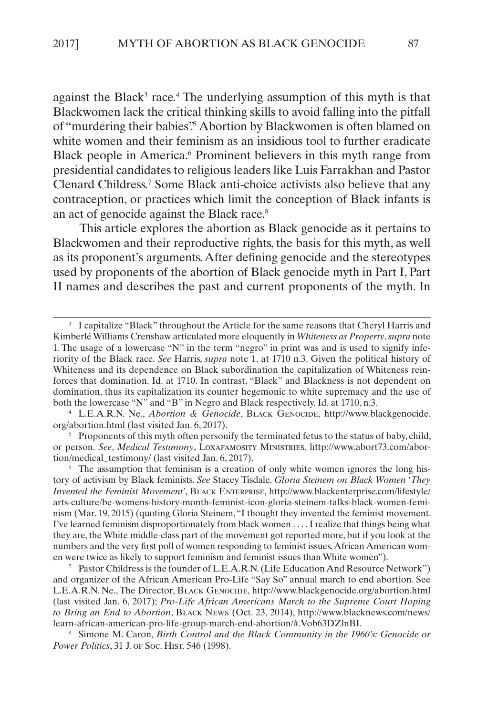against the Black<sup>3</sup> race.<sup>4</sup> The underlying assumption of this myth is that Blackwomen lack the critical thinking skills to avoid falling into the pitfall of "murdering their babies". Abortion by Blackwomen is often blamed on white women and their feminism as an insidious tool to further eradicate Black people in America.<sup>6</sup> Prominent believers in this myth range from presidential candidates to religious leaders like Luis Farrakhan and Pastor Clenard Childress.7 Some Black anti-choice activists also believe that any contraception, or practices which limit the conception of Black infants is an act of genocide against the Black race.<sup>8</sup>

This article explores the abortion as Black genocide as it pertains to Blackwomen and their reproductive rights, the basis for this myth, as well as its proponent's arguments. After defining genocide and the stereotypes used by proponents of the abortion of Black genocide myth in Part I, Part II names and describes the past and current proponents of the myth. In

 $5$  Proponents of this myth often personify the terminated fetus to the status of baby, child, or person. *See*, *Medical Testimony*, Loxafamosity Ministries, http://www.abort73.com/abortion/medical\_testimony/ (last visited Jan. 6, 2017).

<sup>6</sup> The assumption that feminism is a creation of only white women ignores the long history of activism by Black feminists. *See* Stacey Tisdale, *Gloria Steinem on Black Women 'They Invented the Feminist Movement'*, Black Enterprise, http://www.blackenterprise.com/lifestyle/ arts-culture/be-womens-history-month-feminist-icon-gloria-steinem-talks-black-women-feminism (Mar. 19, 2015) (quoting Gloria Steinem, "I thought they invented the feminist movement. I've learned feminism disproportionately from black women . . . . I realize that things being what they are, the White middle-class part of the movement got reported more, but if you look at the numbers and the very first poll of women responding to feminist issues, African American women were twice as likely to support feminism and feminist issues than White women").

<sup>7</sup> Pastor Childress is the founder of L.E.A.R.N. (Life Education And Resource Network") and organizer of the African American Pro-Life "Say So" annual march to end abortion. See L.E.A.R.N. Ne., The Director, Black Genocide, http://www.blackgenocide.org/abortion.html (last visited Jan. 6, 2017); *Pro-Life African Americans March to the Supreme Court Hoping to Bring an End to Abortion*, Black News (Oct. 23, 2014), http://www.blacknews.com/news/ learn-african-american-pro-life-group-march-end-abortion/#.Vob63DZlnBI.

<sup>8</sup> Simone M. Caron, *Birth Control and the Black Community in the 1960's: Genocide or Power Politics*, 31 J. or Soc. Hist. 546 (1998).

<sup>&</sup>lt;sup>3</sup> I capitalize "Black" throughout the Article for the same reasons that Cheryl Harris and Kimberlé Williams Crenshaw articulated more eloquently in *Whiteness as Property*, *supra* note 1. The usage of a lowercase "N" in the term "negro" in print was and is used to signify inferiority of the Black race. *See* Harris, *supra* note 1, at 1710 n.3. Given the political history of Whiteness and its dependence on Black subordination the capitalization of Whiteness reinforces that domination. Id. at 1710. In contrast, "Black" and Blackness is not dependent on domination, thus its capitalization its counter hegemonic to white supremacy and the use of both the lowercase "N" and "B" in Negro and Black respectively. Id. at 1710, n.3.

<sup>4</sup> L.E.A.R.N. Ne., *Abortion & Genocide*, Black Genocide, http://www.blackgenocide. org/abortion.html (last visited Jan. 6, 2017).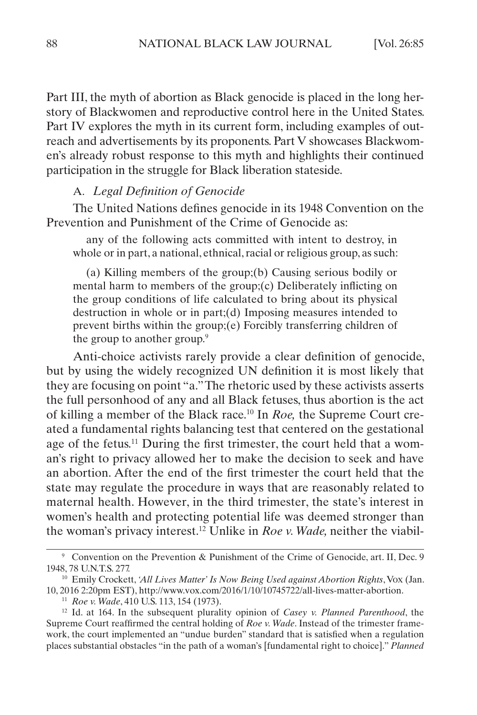<span id="page-4-0"></span>Part III, the myth of abortion as Black genocide is placed in the long herstory of Blackwomen and reproductive control here in the United States. Part IV explores the myth in its current form, including examples of outreach and advertisements by its proponents. Part V showcases Blackwomen's already robust response to this myth and highlights their continued participation in the struggle for Black liberation stateside.

### A. *Legal Definition of Genocide*

The United Nations defines genocide in its 1948 Convention on the Prevention and Punishment of the Crime of Genocide as:

any of the following acts committed with intent to destroy, in whole or in part, a national, ethnical, racial or religious group, as such:

(a) Killing members of the group;(b) Causing serious bodily or mental harm to members of the group;(c) Deliberately inflicting on the group conditions of life calculated to bring about its physical destruction in whole or in part;(d) Imposing measures intended to prevent births within the group;(e) Forcibly transferring children of the group to another group.<sup>9</sup>

Anti-choice activists rarely provide a clear definition of genocide, but by using the widely recognized UN definition it is most likely that they are focusing on point "a." The rhetoric used by these activists asserts the full personhood of any and all Black fetuses, thus abortion is the act of killing a member of the Black race.10 In *Roe,* the Supreme Court created a fundamental rights balancing test that centered on the gestational age of the fetus.11 During the first trimester, the court held that a woman's right to privacy allowed her to make the decision to seek and have an abortion. After the end of the first trimester the court held that the state may regulate the procedure in ways that are reasonably related to maternal health. However, in the third trimester, the state's interest in women's health and protecting potential life was deemed stronger than the woman's privacy interest.12 Unlike in *Roe v. Wade,* neither the viabil-

<sup>9</sup> Convention on the Prevention & Punishment of the Crime of Genocide, art. II, Dec. 9 1948, 78 U.N.T.S. 277.

<sup>&</sup>lt;sup>10</sup> Emily Crockett, 'All Lives Matter' Is Now Being Used against Abortion Rights, Vox (Jan. 10, 2016 2:20pm EST), http://www.vox.com/2016/1/10/10745722/all-lives-matter-abortion.

<sup>11</sup> *Roe v. Wade*, 410 U.S. 113, 154 (1973).

<sup>12</sup> Id. at 164. In the subsequent plurality opinion of *Casey v. Planned Parenthood*, the Supreme Court reaffirmed the central holding of *Roe v. Wade*. Instead of the trimester framework, the court implemented an "undue burden" standard that is satisfied when a regulation places substantial obstacles "in the path of a woman's [fundamental right to choice]." *Planned*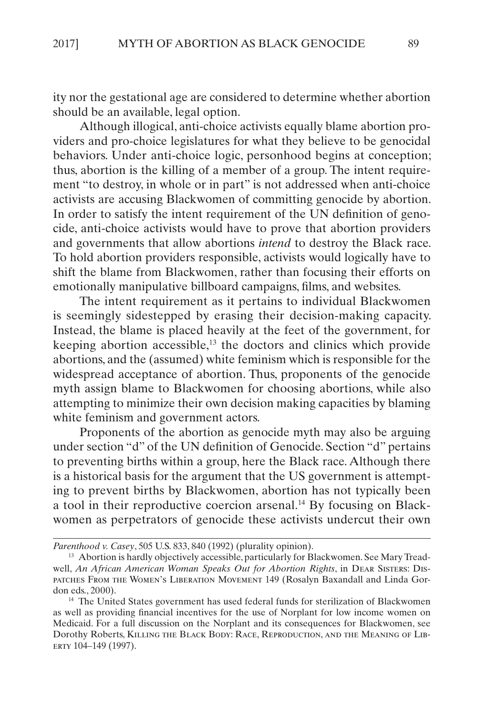ity nor the gestational age are considered to determine whether abortion should be an available, legal option.

Although illogical, anti-choice activists equally blame abortion providers and pro-choice legislatures for what they believe to be genocidal behaviors. Under anti-choice logic, personhood begins at conception; thus, abortion is the killing of a member of a group. The intent requirement "to destroy, in whole or in part" is not addressed when anti-choice activists are accusing Blackwomen of committing genocide by abortion. In order to satisfy the intent requirement of the UN definition of genocide, anti-choice activists would have to prove that abortion providers and governments that allow abortions *intend* to destroy the Black race. To hold abortion providers responsible, activists would logically have to shift the blame from Blackwomen, rather than focusing their efforts on emotionally manipulative billboard campaigns, films, and websites.

The intent requirement as it pertains to individual Blackwomen is seemingly sidestepped by erasing their decision-making capacity. Instead, the blame is placed heavily at the feet of the government, for keeping abortion accessible,<sup>13</sup> the doctors and clinics which provide abortions, and the (assumed) white feminism which is responsible for the widespread acceptance of abortion. Thus, proponents of the genocide myth assign blame to Blackwomen for choosing abortions, while also attempting to minimize their own decision making capacities by blaming white feminism and government actors.

Proponents of the abortion as genocide myth may also be arguing under section "d" of the UN definition of Genocide. Section "d" pertains to preventing births within a group, here the Black race. Although there is a historical basis for the argument that the US government is attempting to prevent births by Blackwomen, abortion has not typically been a tool in their reproductive coercion arsenal.14 By focusing on Blackwomen as perpetrators of genocide these activists undercut their own

*Parenthood v. Casey*, 505 U.S. 833, 840 (1992) (plurality opinion).

<sup>&</sup>lt;sup>13</sup> Abortion is hardly objectively accessible, particularly for Blackwomen. See Mary Treadwell, *An African American Woman Speaks Out for Abortion Rights*, in Dear Sisters: Dispatches From the Women's Liberation Movement 149 (Rosalyn Baxandall and Linda Gordon eds., 2000).

<sup>14</sup> The United States government has used federal funds for sterilization of Blackwomen as well as providing financial incentives for the use of Norplant for low income women on Medicaid. For a full discussion on the Norplant and its consequences for Blackwomen, see Dorothy Roberts, Killing the Black Body: Race, Reproduction, and the Meaning of Liberty 104–149 (1997).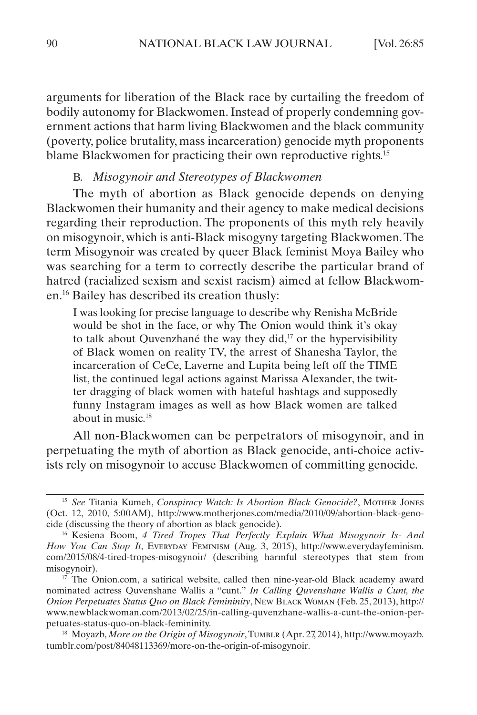<span id="page-6-0"></span>arguments for liberation of the Black race by curtailing the freedom of bodily autonomy for Blackwomen. Instead of properly condemning government actions that harm living Blackwomen and the black community (poverty, police brutality, mass incarceration) genocide myth proponents blame Blackwomen for practicing their own reproductive rights.15

#### B. *Misogynoir and Stereotypes of Blackwomen*

The myth of abortion as Black genocide depends on denying Blackwomen their humanity and their agency to make medical decisions regarding their reproduction. The proponents of this myth rely heavily on misogynoir, which is anti-Black misogyny targeting Blackwomen. The term Misogynoir was created by queer Black feminist Moya Bailey who was searching for a term to correctly describe the particular brand of hatred (racialized sexism and sexist racism) aimed at fellow Blackwomen.16 Bailey has described its creation thusly:

I was looking for precise language to describe why Renisha McBride would be shot in the face, or why The Onion would think it's okay to talk about Quvenzhané the way they did, $17$  or the hypervisibility of Black women on reality TV, the arrest of Shanesha Taylor, the incarceration of CeCe, Laverne and Lupita being left off the TIME list, the continued legal actions against Marissa Alexander, the twitter dragging of black women with hateful hashtags and supposedly funny Instagram images as well as how Black women are talked about in music.18

All non-Blackwomen can be perpetrators of misogynoir, and in perpetuating the myth of abortion as Black genocide, anti-choice activists rely on misogynoir to accuse Blackwomen of committing genocide.

<sup>15</sup> *See* Titania Kumeh, *Conspiracy Watch: Is Abortion Black Genocide?*, Mother Jones (Oct. 12, 2010, 5:00AM), http://www.motherjones.com/media/2010/09/abortion-black-genocide (discussing the theory of abortion as black genocide).

<sup>16</sup> Kesiena Boom, *4 Tired Tropes That Perfectly Explain What Misogynoir Is- And How You Can Stop It*, Everyday Feminism (Aug. 3, 2015), http://www.everydayfeminism. com/2015/08/4-tired-tropes-misogynoir/ (describing harmful stereotypes that stem from misogynoir).

<sup>&</sup>lt;sup>17</sup> The Onion.com, a satirical website, called then nine-year-old Black academy award nominated actress Quvenshane Wallis a "cunt." *In Calling Quvenshane Wallis a Cunt, the Onion Perpetuates Status Quo on Black Femininity*, New Black Woman (Feb. 25, 2013), http:// www.newblackwoman.com/2013/02/25/in-calling-quvenzhane-wallis-a-cunt-the-onion-perpetuates-status-quo-on-black-femininity.

<sup>&</sup>lt;sup>18</sup> Moyazb, More on the Origin of Misogynoir, TUMBLR (Apr. 27, 2014), http://www.moyazb. tumblr.com/post/84048113369/more-on-the-origin-of-misogynoir.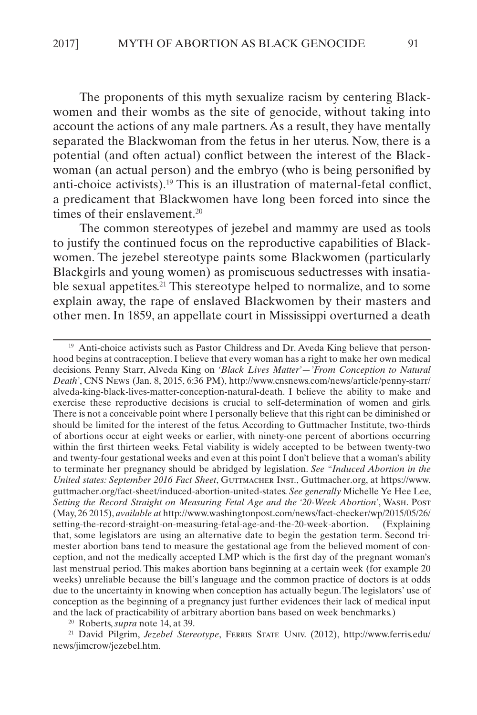The proponents of this myth sexualize racism by centering Blackwomen and their wombs as the site of genocide, without taking into account the actions of any male partners. As a result, they have mentally separated the Blackwoman from the fetus in her uterus. Now, there is a potential (and often actual) conflict between the interest of the Blackwoman (an actual person) and the embryo (who is being personified by anti-choice activists).19 This is an illustration of maternal-fetal conflict, a predicament that Blackwomen have long been forced into since the times of their enslavement.<sup>20</sup>

The common stereotypes of jezebel and mammy are used as tools to justify the continued focus on the reproductive capabilities of Blackwomen. The jezebel stereotype paints some Blackwomen (particularly Blackgirls and young women) as promiscuous seductresses with insatiable sexual appetites.<sup>21</sup> This stereotype helped to normalize, and to some explain away, the rape of enslaved Blackwomen by their masters and other men. In 1859, an appellate court in Mississippi overturned a death

<sup>21</sup> David Pilgrim, *Jezebel Stereotype*, Ferris State Univ. (2012), http://www.ferris.edu/ news/jimcrow/jezebel.htm.

<sup>&</sup>lt;sup>19</sup> Anti-choice activists such as Pastor Childress and Dr. Aveda King believe that personhood begins at contraception. I believe that every woman has a right to make her own medical decisions. Penny Starr, Alveda King on *'Black Lives Matter'—'From Conception to Natural Death'*, CNS News (Jan. 8, 2015, 6:36 PM), http://www.cnsnews.com/news/article/penny-starr/ alveda-king-black-lives-matter-conception-natural-death. I believe the ability to make and exercise these reproductive decisions is crucial to self-determination of women and girls. There is not a conceivable point where I personally believe that this right can be diminished or should be limited for the interest of the fetus. According to Guttmacher Institute, two-thirds of abortions occur at eight weeks or earlier, with ninety-one percent of abortions occurring within the first thirteen weeks. Fetal viability is widely accepted to be between twenty-two and twenty-four gestational weeks and even at this point I don't believe that a woman's ability to terminate her pregnancy should be abridged by legislation. *See "Induced Abortion in the United states: September 2016 Fact Sheet*, Guttmacher Inst., Guttmacher.org, at https://www. guttmacher.org/fact-sheet/induced-abortion-united-states. *See generally* Michelle Ye Hee Lee, *Setting the Record Straight on Measuring Fetal Age and the '20-Week Abortion'*, Wash. Post (May, 26 2015), *available at* http://www.washingtonpost.com/news/fact-checker/wp/2015/05/26/ setting-the-record-straight-on-measuring-fetal-age-and-the-20-week-abortion. (Explaining that, some legislators are using an alternative date to begin the gestation term. Second trimester abortion bans tend to measure the gestational age from the believed moment of conception, and not the medically accepted LMP which is the first day of the pregnant woman's last menstrual period. This makes abortion bans beginning at a certain week (for example 20 weeks) unreliable because the bill's language and the common practice of doctors is at odds due to the uncertainty in knowing when conception has actually begun. The legislators' use of conception as the beginning of a pregnancy just further evidences their lack of medical input and the lack of practicability of arbitrary abortion bans based on week benchmarks.)

<sup>20</sup> Roberts, *supra* note 14, at 39.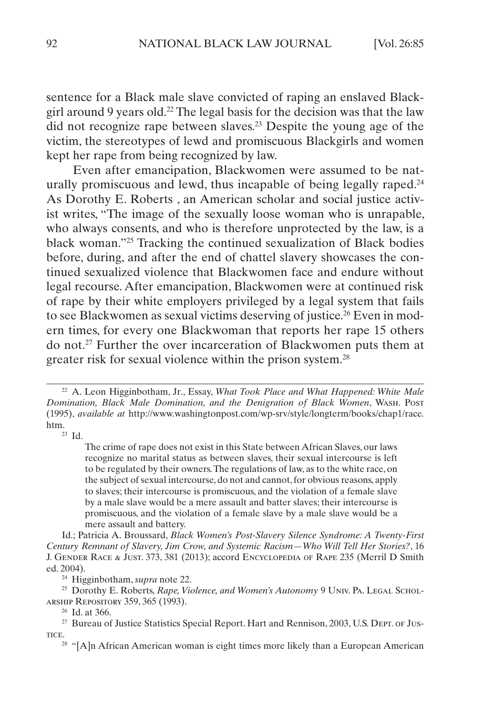sentence for a Black male slave convicted of raping an enslaved Blackgirl around 9 years old.<sup>22</sup> The legal basis for the decision was that the law did not recognize rape between slaves.23 Despite the young age of the victim, the stereotypes of lewd and promiscuous Blackgirls and women kept her rape from being recognized by law.

Even after emancipation, Blackwomen were assumed to be naturally promiscuous and lewd, thus incapable of being legally raped.<sup>24</sup> As Dorothy E. Roberts , an American scholar and social justice activist writes, "The image of the sexually loose woman who is unrapable, who always consents, and who is therefore unprotected by the law, is a black woman."25 Tracking the continued sexualization of Black bodies before, during, and after the end of chattel slavery showcases the continued sexualized violence that Blackwomen face and endure without legal recourse. After emancipation, Blackwomen were at continued risk of rape by their white employers privileged by a legal system that fails to see Blackwomen as sexual victims deserving of justice.<sup>26</sup> Even in modern times, for every one Blackwoman that reports her rape 15 others do not.27 Further the over incarceration of Blackwomen puts them at greater risk for sexual violence within the prison system.28

 $23$  Id.

The crime of rape does not exist in this State between African Slaves, our laws recognize no marital status as between slaves, their sexual intercourse is left to be regulated by their owners. The regulations of law, as to the white race, on the subject of sexual intercourse, do not and cannot, for obvious reasons, apply to slaves; their intercourse is promiscuous, and the violation of a female slave by a male slave would be a mere assault and batter slaves; their intercourse is promiscuous, and the violation of a female slave by a male slave would be a mere assault and battery.

Id.; Patricia A. Broussard, *Black Women's Post-Slavery Silence Syndrome: A Twenty-First Century Remnant of Slavery, Jim Crow, and Systemic Racism—Who Will Tell Her Stories?*, 16 J. Gender Race & Just. 373, 381 (2013); accord Encyclopedia of Rape 235 (Merril D Smith ed. 2004).

<sup>24</sup> Higginbotham, *supra* note 22.

<sup>25</sup> Dorothy E. Roberts, *Rape, Violence, and Women's Autonomy* 9 UNIV. PA. LEGAL SCHOLarship Repository 359, 365 (1993).

<sup>26</sup> Id. at 366.

<sup>22</sup> A. Leon Higginbotham, Jr., Essay, *What Took Place and What Happened: White Male Domination, Black Male Domination, and the Denigration of Black Women*, Wash. Post (1995), *available at* http://www.washingtonpost.com/wp-srv/style/longterm/books/chap1/race.

<sup>&</sup>lt;sup>27</sup> Bureau of Justice Statistics Special Report. Hart and Rennison, 2003, U.S. Dept. of Justice.

<sup>&</sup>lt;sup>28</sup> "[A]n African American woman is eight times more likely than a European American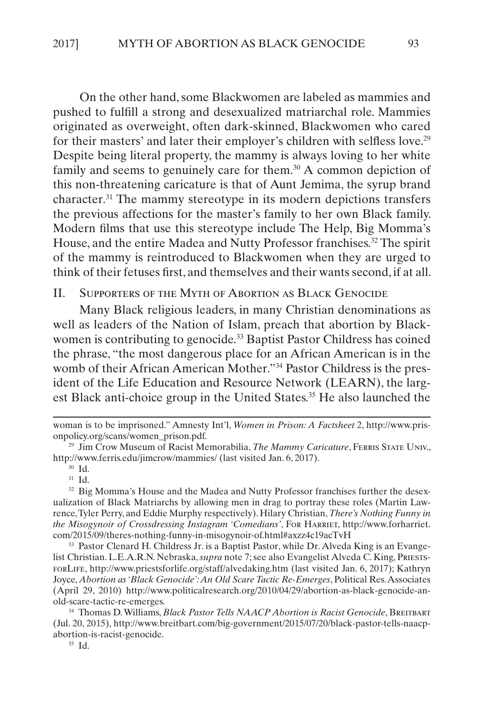<span id="page-9-0"></span>On the other hand, some Blackwomen are labeled as mammies and pushed to fulfill a strong and desexualized matriarchal role. Mammies originated as overweight, often dark-skinned, Blackwomen who cared for their masters' and later their employer's children with selfless love.<sup>29</sup> Despite being literal property, the mammy is always loving to her white family and seems to genuinely care for them.<sup>30</sup> A common depiction of this non-threatening caricature is that of Aunt Jemima, the syrup brand character.31 The mammy stereotype in its modern depictions transfers the previous affections for the master's family to her own Black family. Modern films that use this stereotype include The Help, Big Momma's House, and the entire Madea and Nutty Professor franchises.<sup>32</sup> The spirit of the mammy is reintroduced to Blackwomen when they are urged to think of their fetuses first, and themselves and their wants second, if at all.

II. Supporters of the Myth of Abortion as Black Genocide

Many Black religious leaders, in many Christian denominations as well as leaders of the Nation of Islam, preach that abortion by Blackwomen is contributing to genocide.<sup>33</sup> Baptist Pastor Childress has coined the phrase, "the most dangerous place for an African American is in the womb of their African American Mother."<sup>34</sup> Pastor Childress is the president of the Life Education and Resource Network (LEARN), the largest Black anti-choice group in the United States.<sup>35</sup> He also launched the

<sup>31</sup> Id.

<sup>32</sup> Big Momma's House and the Madea and Nutty Professor franchises further the desexualization of Black Matriarchs by allowing men in drag to portray these roles (Martin Lawrence, Tyler Perry, and Eddie Murphy respectively). Hilary Christian, *There's Nothing Funny in the Misogynoir of Crossdressing Instagram 'Comedians'*, For Harriet, http://www.forharriet. com/2015/09/theres-nothing-funny-in-misogynoir-of.html#axzz4c19acTvH

<sup>33</sup> Pastor Clenard H. Childress Jr. is a Baptist Pastor, while Dr. Alveda King is an Evangelist Christian. L.E.A.R.N. Nebraska, *supra* note 7; see also Evangelist Alveda C. King, PriestsforLife, http://www.priestsforlife.org/staff/alvedaking.htm (last visited Jan. 6, 2017); Kathryn Joyce, *Abortion as 'Black Genocide': An Old Scare Tactic Re-Emerges*, Political Res. Associates (April 29, 2010) http://www.politicalresearch.org/2010/04/29/abortion-as-black-genocide-anold-scare-tactic-re-emerges.

<sup>34</sup> Thomas D. Williams, *Black Pastor Tells NAACP Abortion is Racist Genocide*, BREITBART (Jul. 20, 2015), http://www.breitbart.com/big-government/2015/07/20/black-pastor-tells-naacpabortion-is-racist-genocide.

<sup>35</sup> Id.

woman is to be imprisoned." Amnesty Int'l, *Women in Prison: A Factsheet* 2, http://www.prisonpolicy.org/scans/women\_prison.pdf.

<sup>29</sup> Jim Crow Museum of Racist Memorabilia, *The Mammy Caricature*, Ferris State Univ., http://www.ferris.edu/jimcrow/mammies/ (last visited Jan. 6, 2017).

<sup>30</sup> Id.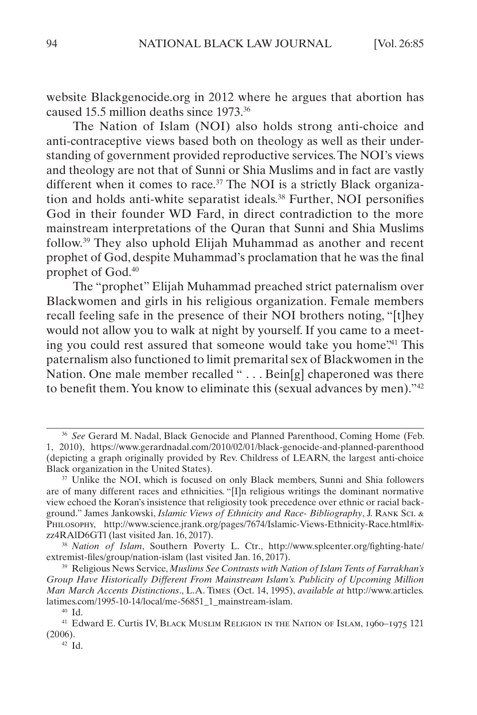website Blackgenocide.org in 2012 where he argues that abortion has caused 15.5 million deaths since 1973.36

The Nation of Islam (NOI) also holds strong anti-choice and anti-contraceptive views based both on theology as well as their understanding of government provided reproductive services. The NOI's views and theology are not that of Sunni or Shia Muslims and in fact are vastly different when it comes to race.<sup>37</sup> The NOI is a strictly Black organization and holds anti-white separatist ideals.<sup>38</sup> Further, NOI personifies God in their founder WD Fard, in direct contradiction to the more mainstream interpretations of the Quran that Sunni and Shia Muslims follow.39 They also uphold Elijah Muhammad as another and recent prophet of God, despite Muhammad's proclamation that he was the final prophet of God.40

The "prophet" Elijah Muhammad preached strict paternalism over Blackwomen and girls in his religious organization. Female members recall feeling safe in the presence of their NOI brothers noting, "[t]hey would not allow you to walk at night by yourself. If you came to a meeting you could rest assured that someone would take you home?<sup>41</sup> This paternalism also functioned to limit premarital sex of Blackwomen in the Nation. One male member recalled "... Bein[g] chaperoned was there to benefit them. You know to eliminate this (sexual advances by men)."42

<sup>36</sup> *See* Gerard M. Nadal, Black Genocide and Planned Parenthood, Coming Home (Feb. 1, 2010), <https://www.gerardnadal.com/2010/02/01/black-genocide-and-planned-parenthood> (depicting a graph originally provided by Rev. Childress of LEARN, the largest anti-choice Black organization in the United States).

<sup>&</sup>lt;sup>37</sup> Unlike the NOI, which is focused on only Black members, Sunni and Shia followers are of many different races and ethnicities. "[I]n religious writings the dominant normative view echoed the Koran's insistence that religiosity took precedence over ethnic or racial background." James Jankowski, *Islamic Views of Ethnicity and Race- Bibliography*, J. Rank Sci. & Philosophy, http://www.science.jrank.org/pages/7674/Islamic-Views-Ethnicity-Race.html#ixzz4RAlD6GTl (last visited Jan. 16, 2017).

<sup>38</sup> *Nation of Islam*, Southern Poverty L. Ctr., http://www.splcenter.org/fighting-hate/ extremist-files/group/nation-islam (last visited Jan. 16, 2017).

<sup>39</sup> Religious News Service, *Muslims See Contrasts with Nation of Islam Tents of Farrakhan's Group Have Historically Different From Mainstream Islam's. Publicity of Upcoming Million Man March Accents Distinctions*., L.A. Times (Oct. 14, 1995), *available at* http://www.articles. latimes.com/1995-10-14/local/me-56851\_1\_mainstream-islam.

<sup>40</sup> Id.

<sup>41</sup> Edward E. Curtis IV, Black Muslim Religion in the Nation of Islam, 1960–1975 121 (2006).

<sup>42</sup> Id.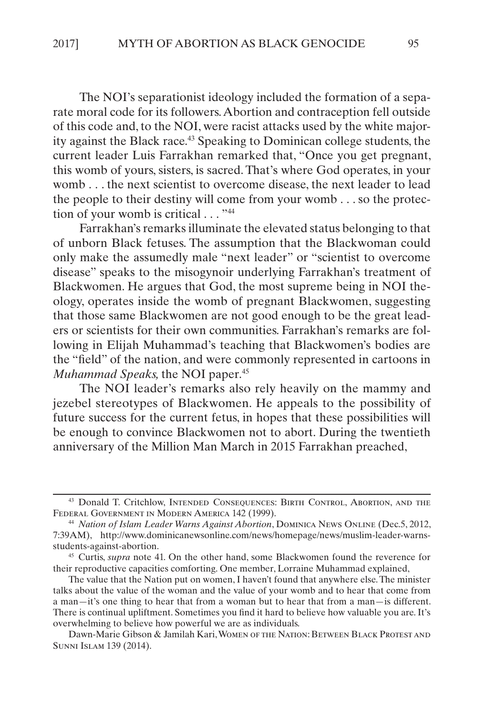The NOI's separationist ideology included the formation of a separate moral code for its followers. Abortion and contraception fell outside of this code and, to the NOI, were racist attacks used by the white majority against the Black race.43 Speaking to Dominican college students, the current leader Luis Farrakhan remarked that, "Once you get pregnant, this womb of yours, sisters, is sacred. That's where God operates, in your womb . . . the next scientist to overcome disease, the next leader to lead the people to their destiny will come from your womb . . . so the protection of your womb is critical . . . "44"

Farrakhan's remarks illuminate the elevated status belonging to that of unborn Black fetuses. The assumption that the Blackwoman could only make the assumedly male "next leader" or "scientist to overcome disease" speaks to the misogynoir underlying Farrakhan's treatment of Blackwomen. He argues that God, the most supreme being in NOI theology, operates inside the womb of pregnant Blackwomen, suggesting that those same Blackwomen are not good enough to be the great leaders or scientists for their own communities. Farrakhan's remarks are following in Elijah Muhammad's teaching that Blackwomen's bodies are the "field" of the nation, and were commonly represented in cartoons in *Muhammad Speaks, the NOI paper.*<sup>45</sup>

The NOI leader's remarks also rely heavily on the mammy and jezebel stereotypes of Blackwomen. He appeals to the possibility of future success for the current fetus, in hopes that these possibilities will be enough to convince Blackwomen not to abort. During the twentieth anniversary of the Million Man March in 2015 Farrakhan preached,

<sup>43</sup> Donald T. Critchlow, Intended Consequences: Birth Control, Abortion, and the Federal Government in Modern America 142 (1999).

<sup>44</sup> *Nation of Islam Leader Warns Against Abortion*, Dominica News Online (Dec.5, 2012, 7:39AM), http://www.dominicanewsonline.com/news/homepage/news/muslim-leader-warnsstudents-against-abortion.

<sup>45</sup> Curtis, *supra* note 41. On the other hand, some Blackwomen found the reverence for their reproductive capacities comforting. One member, Lorraine Muhammad explained,

The value that the Nation put on women, I haven't found that anywhere else. The minister talks about the value of the woman and the value of your womb and to hear that come from a man—it's one thing to hear that from a woman but to hear that from a man—is different. There is continual upliftment. Sometimes you find it hard to believe how valuable you are. It's overwhelming to believe how powerful we are as individuals.

Dawn-Marie Gibson & Jamilah Kari, Women of the Nation: Between Black Protest and Sunni Islam 139 (2014).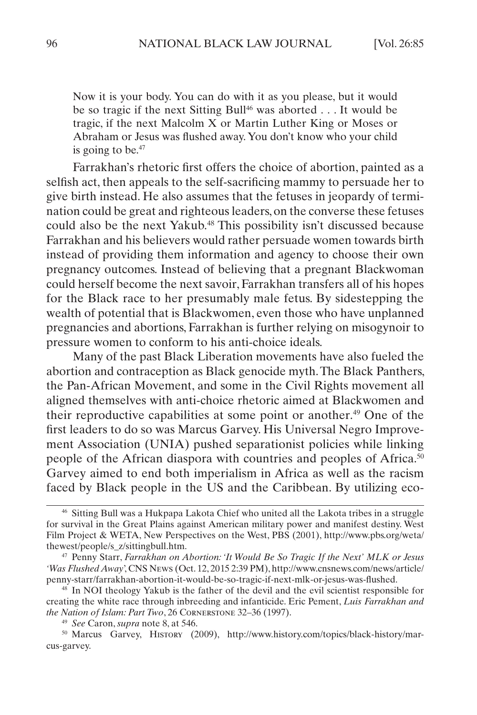Now it is your body. You can do with it as you please, but it would be so tragic if the next Sitting Bull<sup>46</sup> was aborted . . . It would be tragic, if the next Malcolm X or Martin Luther King or Moses or Abraham or Jesus was flushed away. You don't know who your child is going to be. $47$ 

Farrakhan's rhetoric first offers the choice of abortion, painted as a selfish act, then appeals to the self-sacrificing mammy to persuade her to give birth instead. He also assumes that the fetuses in jeopardy of termination could be great and righteous leaders, on the converse these fetuses could also be the next Yakub.<sup>48</sup> This possibility isn't discussed because Farrakhan and his believers would rather persuade women towards birth instead of providing them information and agency to choose their own pregnancy outcomes. Instead of believing that a pregnant Blackwoman could herself become the next savoir, Farrakhan transfers all of his hopes for the Black race to her presumably male fetus. By sidestepping the wealth of potential that is Blackwomen, even those who have unplanned pregnancies and abortions, Farrakhan is further relying on misogynoir to pressure women to conform to his anti-choice ideals.

Many of the past Black Liberation movements have also fueled the abortion and contraception as Black genocide myth. The Black Panthers, the Pan-African Movement, and some in the Civil Rights movement all aligned themselves with anti-choice rhetoric aimed at Blackwomen and their reproductive capabilities at some point or another.49 One of the first leaders to do so was Marcus Garvey. His Universal Negro Improvement Association (UNIA) pushed separationist policies while linking people of the African diaspora with countries and peoples of Africa.<sup>50</sup> Garvey aimed to end both imperialism in Africa as well as the racism faced by Black people in the US and the Caribbean. By utilizing eco-

<sup>46</sup> Sitting Bull was a Hukpapa Lakota Chief who united all the Lakota tribes in a struggle for survival in the Great Plains against American military power and manifest destiny. West Film Project & WETA, New Perspectives on the West, PBS (2001), http://www.pbs.org/weta/ thewest/people/s\_z/sittingbull.htm.

<sup>47</sup> Penny Starr, *Farrakhan on Abortion: 'It Would Be So Tragic If the Next' MLK or Jesus 'Was Flushed Away*', CNS News (Oct. 12, 2015 2:39 PM), http://www.cnsnews.com/news/article/ penny-starr/farrakhan-abortion-it-would-be-so-tragic-if-next-mlk-or-jesus-was-flushed.

<sup>&</sup>lt;sup>48</sup> In NOI theology Yakub is the father of the devil and the evil scientist responsible for creating the white race through inbreeding and infanticide. Eric Pement, *Luis Farrakhan and the Nation of Islam: Part Two*, 26 Cornerstone 32–36 (1997).

<sup>49</sup> *See* Caron, *supra* note 8, at 546.

<sup>50</sup> Marcus Garvey, History (2009), http://www.history.com/topics/black-history/marcus-garvey.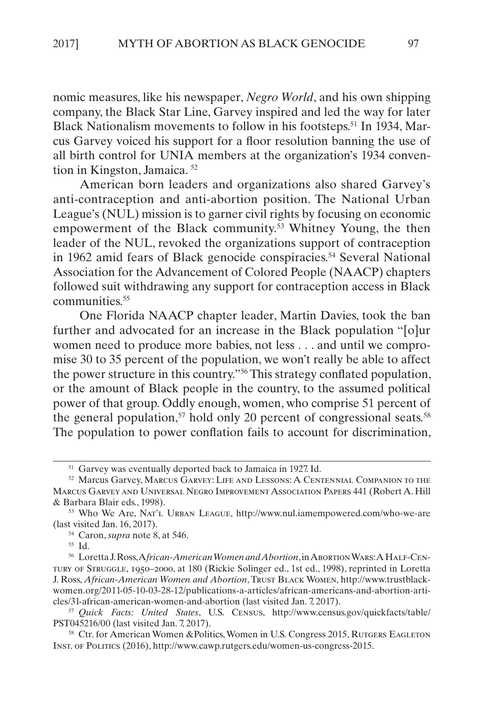nomic measures, like his newspaper, *Negro World*, and his own shipping company, the Black Star Line, Garvey inspired and led the way for later Black Nationalism movements to follow in his footsteps.51 In 1934, Marcus Garvey voiced his support for a floor resolution banning the use of all birth control for UNIA members at the organization's 1934 convention in Kingston, Jamaica. 52

American born leaders and organizations also shared Garvey's anti-contraception and anti-abortion position. The National Urban League's (NUL) mission is to garner civil rights by focusing on economic empowerment of the Black community.<sup>53</sup> Whitney Young, the then leader of the NUL, revoked the organizations support of contraception in 1962 amid fears of Black genocide conspiracies.<sup>54</sup> Several National Association for the Advancement of Colored People (NAACP) chapters followed suit withdrawing any support for contraception access in Black communities.<sup>55</sup>

One Florida NAACP chapter leader, Martin Davies, took the ban further and advocated for an increase in the Black population "[o]ur women need to produce more babies, not less . . . and until we compromise 30 to 35 percent of the population, we won't really be able to affect the power structure in this country."56 This strategy conflated population, or the amount of Black people in the country, to the assumed political power of that group. Oddly enough, women, who comprise 51 percent of the general population,<sup>57</sup> hold only 20 percent of congressional seats.<sup>58</sup> The population to power conflation fails to account for discrimination,

<sup>54</sup> Caron, *supra* note 8, at 546.

<sup>55</sup> Id.

<sup>51</sup> Garvey was eventually deported back to Jamaica in 1927. Id.

<sup>52</sup> Marcus Garvey, Marcus Garvey: Life and Lessons: A Centennial Companion to the Marcus Garvey and Universal Negro Improvement Association Papers 441 (Robert A. Hill & Barbara Blair eds., 1998).

<sup>53</sup> Who We Are, Nat'l Urban League, http://www.nul.iamempowered.com/who-we-are (last visited Jan. 16, 2017).

<sup>56</sup> Loretta J. Ross, A*frican-American Women and Abortion*, in Abortion Wars: A Half-Century of Struggle, 1950–2000, at 180 (Rickie Solinger ed., 1st ed., 1998), reprinted in Loretta J. Ross, *African-American Women and Abortion*, Trust Black Women, http://www.trustblackwomen.org/2011-05-10-03-28-12/publications-a-articles/african-americans-and-abortion-articles/31-african-american-women-and-abortion (last visited Jan. 7, 2017).

<sup>57</sup> *Quick Facts: United States*, U.S. Census, http://www.census.gov/quickfacts/table/ PST045216/00 (last visited Jan. 7, 2017).

<sup>&</sup>lt;sup>58</sup> Ctr. for American Women &Politics, Women in U.S. Congress 2015, RUTGERS EAGLETON Inst. of Politics (2016), http://www.cawp.rutgers.edu/women-us-congress-2015.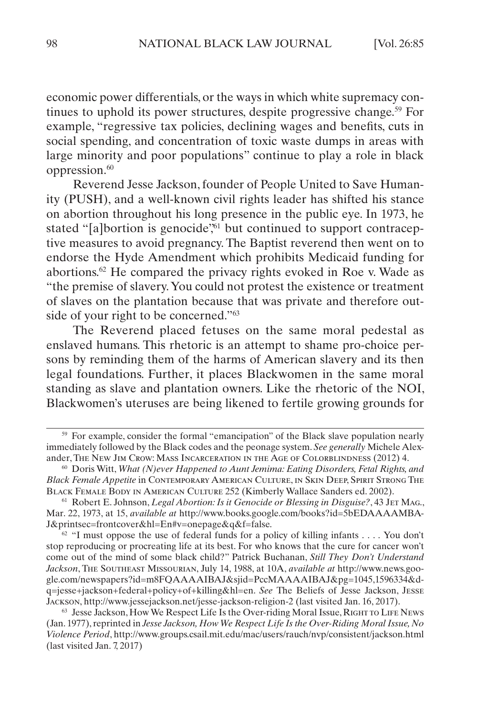economic power differentials, or the ways in which white supremacy continues to uphold its power structures, despite progressive change.<sup>59</sup> For example, "regressive tax policies, declining wages and benefits, cuts in social spending, and concentration of toxic waste dumps in areas with large minority and poor populations" continue to play a role in black oppression.<sup>60</sup>

Reverend Jesse Jackson, founder of People United to Save Humanity (PUSH), and a well-known civil rights leader has shifted his stance on abortion throughout his long presence in the public eye. In 1973, he stated "[a]bortion is genocide",<sup>61</sup> but continued to support contraceptive measures to avoid pregnancy. The Baptist reverend then went on to endorse the Hyde Amendment which prohibits Medicaid funding for abortions.62 He compared the privacy rights evoked in Roe v. Wade as "the premise of slavery. You could not protest the existence or treatment of slaves on the plantation because that was private and therefore outside of your right to be concerned."<sup>63</sup>

The Reverend placed fetuses on the same moral pedestal as enslaved humans. This rhetoric is an attempt to shame pro-choice persons by reminding them of the harms of American slavery and its then legal foundations. Further, it places Blackwomen in the same moral standing as slave and plantation owners. Like the rhetoric of the NOI, Blackwomen's uteruses are being likened to fertile growing grounds for

<sup>&</sup>lt;sup>59</sup> For example, consider the formal "emancipation" of the Black slave population nearly immediately followed by the Black codes and the peonage system. *See generally* Michele Alexander, The New Jim Crow: Mass Incarceration in the Age of Colorblindness (2012) 4.

<sup>60</sup> Doris Witt, *What (N)ever Happened to Aunt Jemima: Eating Disorders, Fetal Rights, and Black Female Appetite* in Contemporary American Culture, in Skin Deep, Spirit Strong The Black Female Body in American Culture 252 (Kimberly Wallace Sanders ed. 2002).

<sup>&</sup>lt;sup>61</sup> Robert E. Johnson, *Legal Abortion: Is it Genocide or Blessing in Disguise?*, 43 JET MAG., Mar. 22, 1973, at 15, *available at* http://www.books.google.com/books?id=5bEDAAAAMBA-J&printsec=frontcover&hl=En#v=onepage&q&f=false.

 $62$  "I must oppose the use of federal funds for a policy of killing infants . . . . You don't stop reproducing or procreating life at its best. For who knows that the cure for cancer won't come out of the mind of some black child?" Patrick Buchanan, *Still They Don't Understand Jackson*, The Southeast Missourian, July 14, 1988, at 10A, *available at* http://www.news.google.com/newspapers?id=m8FQAAAAIBAJ&sjid=PccMAAAAIBAJ&pg=1045,1596334&dq=jesse+jackson+federal+policy+of+killing&hl=en. *See* The Beliefs of Jesse Jackson, Jesse Jackson, http://www.jessejackson.net/jesse-jackson-religion-2 (last visited Jan. 16, 2017).

<sup>&</sup>lt;sup>63</sup> Jesse Jackson, How We Respect Life Is the Over-riding Moral Issue, RIGHT TO LIFE NEWS (Jan. 1977), reprinted in *Jesse Jackson, How We Respect Life Is the Over-Riding Moral Issue, No Violence Period*, http://www.groups.csail.mit.edu/mac/users/rauch/nvp/consistent/jackson.html (last visited Jan. 7, 2017)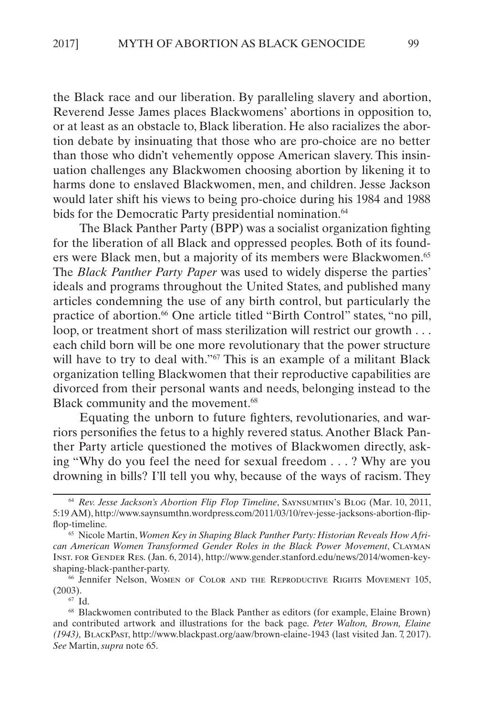the Black race and our liberation. By paralleling slavery and abortion, Reverend Jesse James places Blackwomens' abortions in opposition to, or at least as an obstacle to, Black liberation. He also racializes the abortion debate by insinuating that those who are pro-choice are no better than those who didn't vehemently oppose American slavery. This insinuation challenges any Blackwomen choosing abortion by likening it to harms done to enslaved Blackwomen, men, and children. Jesse Jackson would later shift his views to being pro-choice during his 1984 and 1988 bids for the Democratic Party presidential nomination.<sup>64</sup>

The Black Panther Party (BPP) was a socialist organization fighting for the liberation of all Black and oppressed peoples. Both of its founders were Black men, but a majority of its members were Blackwomen.<sup>65</sup> The *Black Panther Party Paper* was used to widely disperse the parties' ideals and programs throughout the United States, and published many articles condemning the use of any birth control, but particularly the practice of abortion.<sup>66</sup> One article titled "Birth Control" states, "no pill, loop, or treatment short of mass sterilization will restrict our growth . . . each child born will be one more revolutionary that the power structure will have to try to deal with."<sup>67</sup> This is an example of a militant Black organization telling Blackwomen that their reproductive capabilities are divorced from their personal wants and needs, belonging instead to the Black community and the movement.<sup>68</sup>

Equating the unborn to future fighters, revolutionaries, and warriors personifies the fetus to a highly revered status. Another Black Panther Party article questioned the motives of Blackwomen directly, asking "Why do you feel the need for sexual freedom . . . ? Why are you drowning in bills? I'll tell you why, because of the ways of racism. They

<sup>67</sup> Id.

<sup>64</sup> *Rev. Jesse Jackson's Abortion Flip Flop Timeline*, Saynsumthn's Blog (Mar. 10, 2011, 5:19 AM), http://www.saynsumthn.wordpress.com/2011/03/10/rev-jesse-jacksons-abortion-flipflop-timeline.

<sup>&</sup>lt;sup>65</sup> Nicole Martin, *Women Key in Shaping Black Panther Party: Historian Reveals How African American Women Transformed Gender Roles in the Black Power Movement*, Clayman Inst. for Gender Res. (Jan. 6, 2014), http://www.gender.stanford.edu/news/2014/women-keyshaping-black-panther-party.

<sup>66</sup> Jennifer Nelson, Women of Color and the Reproductive Rights Movement 105, (2003).

<sup>68</sup> Blackwomen contributed to the Black Panther as editors (for example, Elaine Brown) and contributed artwork and illustrations for the back page. *Peter Walton, Brown, Elaine (1943),* BlackPast, http://www.blackpast.org/aaw/brown-elaine-1943 (last visited Jan. 7, 2017). *See* Martin, *supra* note 65.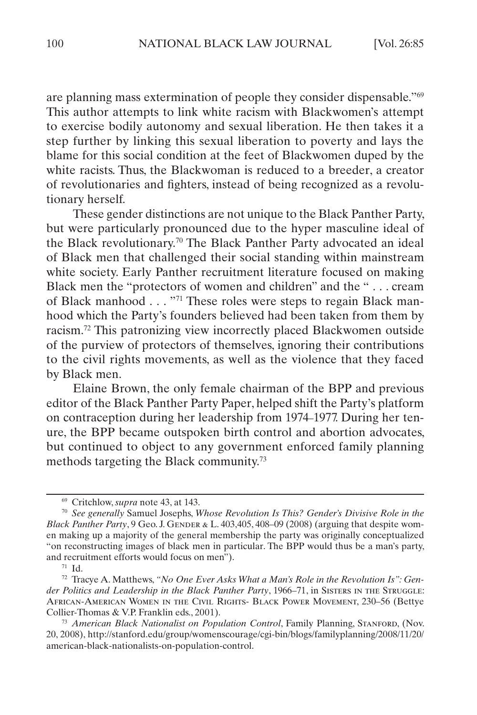are planning mass extermination of people they consider dispensable."69 This author attempts to link white racism with Blackwomen's attempt to exercise bodily autonomy and sexual liberation. He then takes it a step further by linking this sexual liberation to poverty and lays the blame for this social condition at the feet of Blackwomen duped by the white racists. Thus, the Blackwoman is reduced to a breeder, a creator of revolutionaries and fighters, instead of being recognized as a revolutionary herself.

These gender distinctions are not unique to the Black Panther Party, but were particularly pronounced due to the hyper masculine ideal of the Black revolutionary.70 The Black Panther Party advocated an ideal of Black men that challenged their social standing within mainstream white society. Early Panther recruitment literature focused on making Black men the "protectors of women and children" and the " . . . cream of Black manhood . . . "71 These roles were steps to regain Black manhood which the Party's founders believed had been taken from them by racism.72 This patronizing view incorrectly placed Blackwomen outside of the purview of protectors of themselves, ignoring their contributions to the civil rights movements, as well as the violence that they faced by Black men.

Elaine Brown, the only female chairman of the BPP and previous editor of the Black Panther Party Paper, helped shift the Party's platform on contraception during her leadership from 1974–1977. During her tenure, the BPP became outspoken birth control and abortion advocates, but continued to object to any government enforced family planning methods targeting the Black community.73

<sup>69</sup> Critchlow, *supra* note 43, at 143.

<sup>70</sup> *See generally* Samuel Josephs, *Whose Revolution Is This? Gender's Divisive Role in the Black Panther Party*,  $9$  Geo. J. GENDER  $\&$  L. 403,405, 408–09 (2008) (arguing that despite women making up a majority of the general membership the party was originally conceptualized "on reconstructing images of black men in particular. The BPP would thus be a man's party, and recruitment efforts would focus on men").

<sup>71</sup> Id.

<sup>72</sup> Tracye A. Matthews, *"No One Ever Asks What a Man's Role in the Revolution Is": Gen*der Politics and Leadership in the Black Panther Party, 1966-71, in SISTERS IN THE STRUGGLE: African-American Women in the Civil Rights- Black Power Movement, 230–56 (Bettye Collier-Thomas & V.P. Franklin eds., 2001).

<sup>73</sup> *American Black Nationalist on Population Control*, Family Planning, Stanford, (Nov. 20, 2008), http://stanford.edu/group/womenscourage/cgi-bin/blogs/familyplanning/2008/11/20/ american-black-nationalists-on-population-control.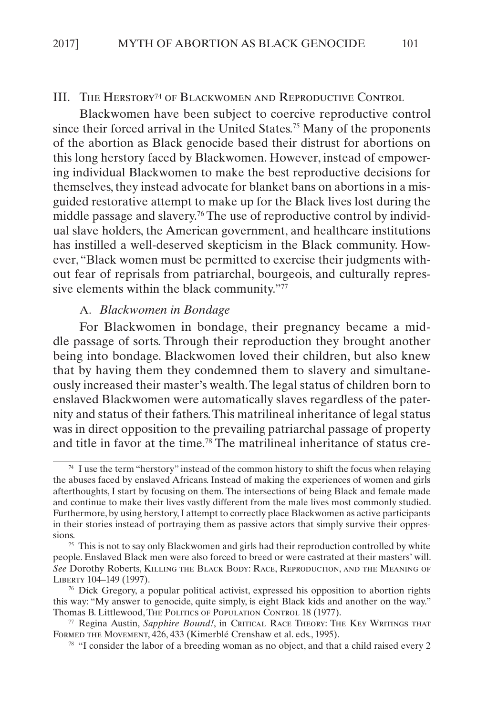#### <span id="page-17-0"></span>III. THE HERSTORY<sup>74</sup> OF BLACKWOMEN AND REPRODUCTIVE CONTROL

Blackwomen have been subject to coercive reproductive control since their forced arrival in the United States.<sup>75</sup> Many of the proponents of the abortion as Black genocide based their distrust for abortions on this long herstory faced by Blackwomen. However, instead of empowering individual Blackwomen to make the best reproductive decisions for themselves, they instead advocate for blanket bans on abortions in a misguided restorative attempt to make up for the Black lives lost during the middle passage and slavery.76 The use of reproductive control by individual slave holders, the American government, and healthcare institutions has instilled a well-deserved skepticism in the Black community. However, "Black women must be permitted to exercise their judgments without fear of reprisals from patriarchal, bourgeois, and culturally repressive elements within the black community."77

#### A. *Blackwomen in Bondage*

For Blackwomen in bondage, their pregnancy became a middle passage of sorts. Through their reproduction they brought another being into bondage. Blackwomen loved their children, but also knew that by having them they condemned them to slavery and simultaneously increased their master's wealth. The legal status of children born to enslaved Blackwomen were automatically slaves regardless of the paternity and status of their fathers. This matrilineal inheritance of legal status was in direct opposition to the prevailing patriarchal passage of property and title in favor at the time.78 The matrilineal inheritance of status cre-

<sup>74</sup> I use the term "herstory" instead of the common history to shift the focus when relaying the abuses faced by enslaved Africans. Instead of making the experiences of women and girls afterthoughts, I start by focusing on them. The intersections of being Black and female made and continue to make their lives vastly different from the male lives most commonly studied. Furthermore, by using herstory, I attempt to correctly place Blackwomen as active participants in their stories instead of portraying them as passive actors that simply survive their oppressions.

 $75$  This is not to say only Blackwomen and girls had their reproduction controlled by white people. Enslaved Black men were also forced to breed or were castrated at their masters' will. *See* Dorothy Roberts, Killing the Black Body: Race, Reproduction, and the Meaning of Liberty 104–149 (1997).

 $\frac{76}{6}$  Dick Gregory, a popular political activist, expressed his opposition to abortion rights this way: "My answer to genocide, quite simply, is eight Black kids and another on the way." Thomas B. Littlewood, The Politics of Population Control 18 (1977).

<sup>77</sup> Regina Austin, *Sapphire Bound!*, in Critical Race Theory: The Key Writings that FORMED THE MOVEMENT, 426, 433 (Kimerblé Crenshaw et al. eds., 1995).

<sup>78</sup> "I consider the labor of a breeding woman as no object, and that a child raised every 2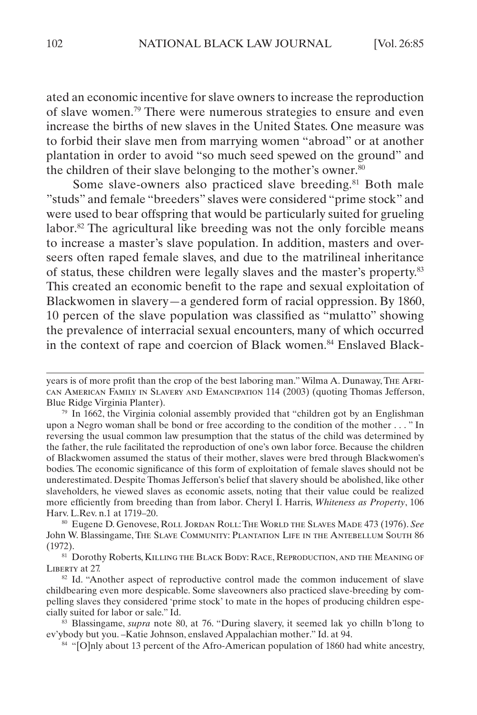ated an economic incentive for slave owners to increase the reproduction of slave women.79 There were numerous strategies to ensure and even increase the births of new slaves in the United States. One measure was to forbid their slave men from marrying women "abroad" or at another plantation in order to avoid "so much seed spewed on the ground" and the children of their slave belonging to the mother's owner. $80$ 

Some slave-owners also practiced slave breeding.<sup>81</sup> Both male "studs" and female "breeders" slaves were considered "prime stock" and were used to bear offspring that would be particularly suited for grueling labor.<sup>82</sup> The agricultural like breeding was not the only forcible means to increase a master's slave population. In addition, masters and overseers often raped female slaves, and due to the matrilineal inheritance of status, these children were legally slaves and the master's property.83 This created an economic benefit to the rape and sexual exploitation of Blackwomen in slavery—a gendered form of racial oppression. By 1860, 10 percen of the slave population was classified as "mulatto" showing the prevalence of interracial sexual encounters, many of which occurred in the context of rape and coercion of Black women.84 Enslaved Black-

years is of more profit than the crop of the best laboring man." Wilma A. Dunaway, The African American Family in Slavery and Emancipation 114 (2003) (quoting Thomas Jefferson, Blue Ridge Virginia Planter).

 $79$  In 1662, the Virginia colonial assembly provided that "children got by an Englishman upon a Negro woman shall be bond or free according to the condition of the mother . . . " In reversing the usual common law presumption that the status of the child was determined by the father, the rule facilitated the reproduction of one's own labor force. Because the children of Blackwomen assumed the status of their mother, slaves were bred through Blackwomen's bodies. The economic significance of this form of exploitation of female slaves should not be underestimated. Despite Thomas Jefferson's belief that slavery should be abolished, like other slaveholders, he viewed slaves as economic assets, noting that their value could be realized more efficiently from breeding than from labor. Cheryl I. Harris, *Whiteness as Property*, 106 Harv. L.Rev. n.1 at 1719–20.

<sup>80</sup> Eugene D. Genovese, Roll Jordan Roll: The World the Slaves Made 473 (1976). *See* John W. Blassingame, The Slave Community: Plantation Life in the Antebellum South 86 (1972).

<sup>81</sup> Dorothy Roberts, Killing the Black Body: Race, Reproduction, and the Meaning of LIBERTY at 27.

<sup>&</sup>lt;sup>82</sup> Id. "Another aspect of reproductive control made the common inducement of slave childbearing even more despicable. Some slaveowners also practiced slave-breeding by compelling slaves they considered 'prime stock' to mate in the hopes of producing children especially suited for labor or sale." Id.

<sup>83</sup> Blassingame, *supra* note 80, at 76. "During slavery, it seemed lak yo chilln b'long to ev'ybody but you. –Katie Johnson, enslaved Appalachian mother." Id. at 94.

<sup>&</sup>lt;sup>84</sup> "[O]nly about 13 percent of the Afro-American population of 1860 had white ancestry,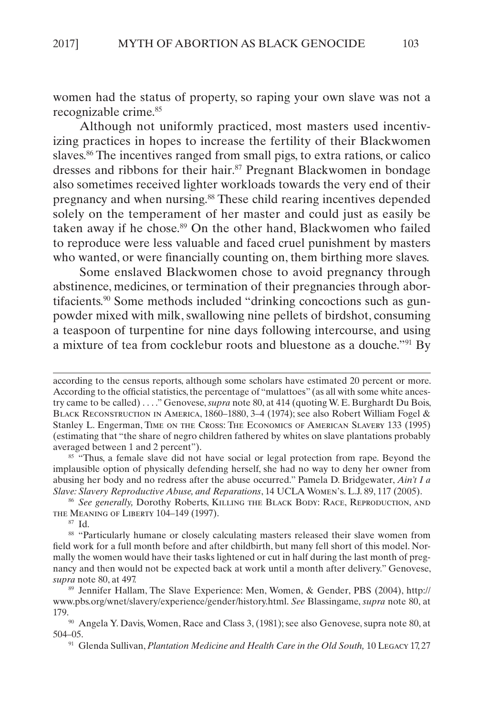women had the status of property, so raping your own slave was not a recognizable crime.<sup>85</sup>

Although not uniformly practiced, most masters used incentivizing practices in hopes to increase the fertility of their Blackwomen slaves.<sup>86</sup> The incentives ranged from small pigs, to extra rations, or calico dresses and ribbons for their hair.<sup>87</sup> Pregnant Blackwomen in bondage also sometimes received lighter workloads towards the very end of their pregnancy and when nursing.<sup>88</sup> These child rearing incentives depended solely on the temperament of her master and could just as easily be taken away if he chose.<sup>89</sup> On the other hand, Blackwomen who failed to reproduce were less valuable and faced cruel punishment by masters who wanted, or were financially counting on, them birthing more slaves.

Some enslaved Blackwomen chose to avoid pregnancy through abstinence, medicines, or termination of their pregnancies through abortifacients.90 Some methods included "drinking concoctions such as gunpowder mixed with milk, swallowing nine pellets of birdshot, consuming a teaspoon of turpentine for nine days following intercourse, and using a mixture of tea from cocklebur roots and bluestone as a douche."91 By

<sup>85</sup> "Thus, a female slave did not have social or legal protection from rape. Beyond the implausible option of physically defending herself, she had no way to deny her owner from abusing her body and no redress after the abuse occurred." Pamela D. Bridgewater, *Ain't I a Slave: Slavery Reproductive Abuse, and Reparations*, 14 UCLA Women's. L.J. 89, 117 (2005).

<sup>86</sup> *See generally,* Dorothy Roberts, Killing the Black Body: Race, Reproduction, and the Meaning of Liberty 104–149 (1997).

<sup>87</sup> Id.

88 "Particularly humane or closely calculating masters released their slave women from field work for a full month before and after childbirth, but many fell short of this model. Normally the women would have their tasks lightened or cut in half during the last month of pregnancy and then would not be expected back at work until a month after delivery." Genovese, *supra* note 80, at 497.

<sup>89</sup> Jennifer Hallam, The Slave Experience: Men, Women, & Gender, PBS (2004), [http://](http://www.pbs.org/wnet/slavery/experience/gender/history.html) [www.pbs.org/wnet/slavery/experience/gender/history.html.](http://www.pbs.org/wnet/slavery/experience/gender/history.html) *See* Blassingame, *supra* note 80, at 179.<br><sup>90</sup> Angela Y. Davis, Women, Race and Class 3, (1981); see also Genovese, supra note 80, at

504–05.

<sup>91</sup> Glenda Sullivan, *Plantation Medicine and Health Care in the Old South,* 10 Legacy 17, 27

according to the census reports, although some scholars have estimated 20 percent or more. According to the official statistics, the percentage of "mulattoes" (as all with some white ancestry came to be called) . . . ." Genovese, *supra* note 80, at 414 (quoting W. E. Burghardt Du Bois, Black Reconstruction in America, 1860–1880, 3–4 (1974); see also Robert William Fogel & Stanley L. Engerman, Time on the Cross: The Economics of American Slavery 133 (1995) (estimating that "the share of negro children fathered by whites on slave plantations probably averaged between 1 and 2 percent").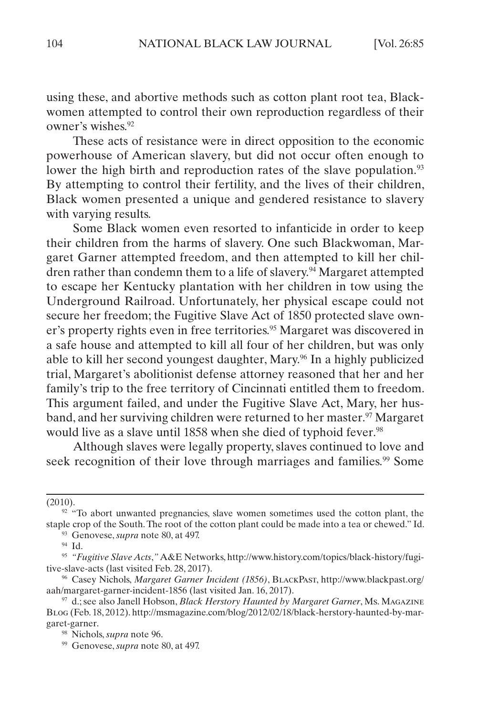using these, and abortive methods such as cotton plant root tea, Blackwomen attempted to control their own reproduction regardless of their owner's wishes.92

These acts of resistance were in direct opposition to the economic powerhouse of American slavery, but did not occur often enough to lower the high birth and reproduction rates of the slave population.<sup>93</sup> By attempting to control their fertility, and the lives of their children, Black women presented a unique and gendered resistance to slavery with varying results.

Some Black women even resorted to infanticide in order to keep their children from the harms of slavery. One such Blackwoman, Margaret Garner attempted freedom, and then attempted to kill her children rather than condemn them to a life of slavery.94 Margaret attempted to escape her Kentucky plantation with her children in tow using the Underground Railroad. Unfortunately, her physical escape could not secure her freedom; the Fugitive Slave Act of 1850 protected slave owner's property rights even in free territories.<sup>95</sup> Margaret was discovered in a safe house and attempted to kill all four of her children, but was only able to kill her second youngest daughter, Mary.96 In a highly publicized trial, Margaret's abolitionist defense attorney reasoned that her and her family's trip to the free territory of Cincinnati entitled them to freedom. This argument failed, and under the Fugitive Slave Act, Mary, her husband, and her surviving children were returned to her master.97 Margaret would live as a slave until 1858 when she died of typhoid fever.<sup>98</sup>

Although slaves were legally property, slaves continued to love and seek recognition of their love through marriages and families.<sup>99</sup> Some

<sup>93</sup> Genovese, *supra* note 80, at 497.

<sup>(2010).</sup>

<sup>&</sup>lt;sup>92</sup> "To abort unwanted pregnancies, slave women sometimes used the cotton plant, the staple crop of the South. The root of the cotton plant could be made into a tea or chewed." Id.

<sup>94</sup> Id.

<sup>95</sup> *"Fugitive Slave Acts*,*"* A&E Networks, http://www.history.com/topics/black-history/fugitive-slave-acts (last visited Feb. 28, 2017).

<sup>96</sup> Casey Nichols, *Margaret Garner Incident (1856)*, BlackPast, http://www.blackpast.org/ aah/margaret-garner-incident-1856 (last visited Jan. 16, 2017).

<sup>97</sup> d.; see also Janell Hobson, *Black Herstory Haunted by Margaret Garner*, Ms. Magazine Blog (Feb. 18, 2012). http://msmagazine.com/blog/2012/02/18/black-herstory-haunted-by-margaret-garner.

<sup>98</sup> Nichols, *supra* note 96.

<sup>99</sup> Genovese, *supra* note 80, at 497.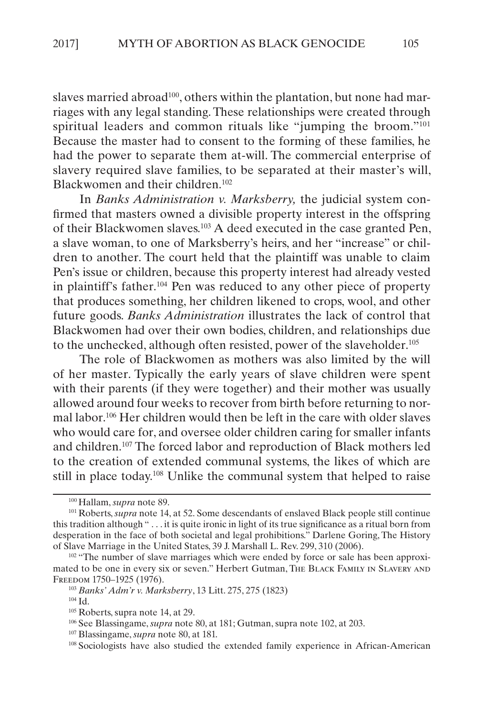slaves married abroad<sup>100</sup>, others within the plantation, but none had marriages with any legal standing. These relationships were created through spiritual leaders and common rituals like "jumping the broom."101 Because the master had to consent to the forming of these families, he had the power to separate them at-will. The commercial enterprise of slavery required slave families, to be separated at their master's will, Blackwomen and their children.<sup>102</sup>

In *Banks Administration v. Marksberry,* the judicial system confirmed that masters owned a divisible property interest in the offspring of their Blackwomen slaves.103 A deed executed in the case granted Pen, a slave woman, to one of Marksberry's heirs, and her "increase" or children to another. The court held that the plaintiff was unable to claim Pen's issue or children, because this property interest had already vested in plaintiff's father.104 Pen was reduced to any other piece of property that produces something, her children likened to crops, wool, and other future goods. *Banks Administration* illustrates the lack of control that Blackwomen had over their own bodies, children, and relationships due to the unchecked, although often resisted, power of the slaveholder.<sup>105</sup>

The role of Blackwomen as mothers was also limited by the will of her master. Typically the early years of slave children were spent with their parents (if they were together) and their mother was usually allowed around four weeks to recover from birth before returning to normal labor.106 Her children would then be left in the care with older slaves who would care for, and oversee older children caring for smaller infants and children.107 The forced labor and reproduction of Black mothers led to the creation of extended communal systems, the likes of which are still in place today.108 Unlike the communal system that helped to raise

<sup>100</sup> Hallam, *supra* note 89.

<sup>&</sup>lt;sup>101</sup> Roberts, *supra* note 14, at 52. Some descendants of enslaved Black people still continue this tradition although " . . . it is quite ironic in light of its true significance as a ritual born from desperation in the face of both societal and legal prohibitions." Darlene Goring, The History of Slave Marriage in the United States, 39 J. Marshall L. Rev. 299, 310 (2006).

<sup>&</sup>lt;sup>102</sup> "The number of slave marriages which were ended by force or sale has been approximated to be one in every six or seven." Herbert Gutman, The Black Family in Slavery and Freedom 1750–1925 (1976).

<sup>103</sup> *Banks' Adm'r v. Marksberry*, 13 Litt. 275, 275 (1823)

<sup>104</sup> Id.

<sup>105</sup> Roberts, supra note 14, at 29.

<sup>106</sup> See Blassingame, *supra* note 80, at 181; Gutman, supra note 102, at 203.

<sup>107</sup> Blassingame, *supra* note 80, at 181.

<sup>108</sup> Sociologists have also studied the extended family experience in African-American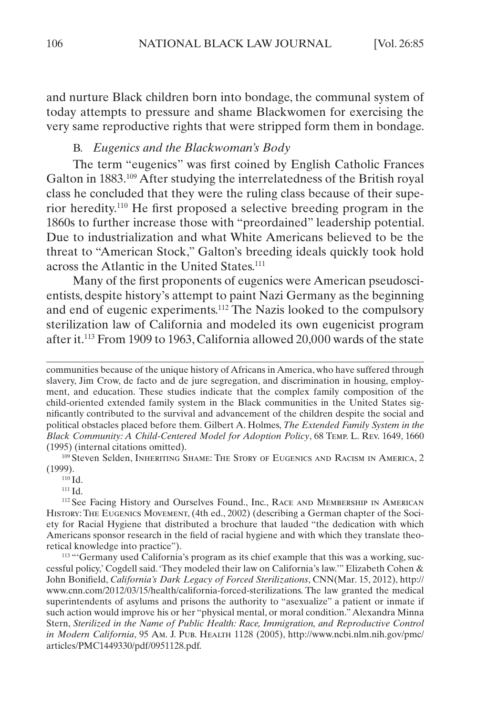<span id="page-22-0"></span>and nurture Black children born into bondage, the communal system of today attempts to pressure and shame Blackwomen for exercising the very same reproductive rights that were stripped form them in bondage.

#### B. *Eugenics and the Blackwoman's Body*

The term "eugenics" was first coined by English Catholic Frances Galton in 1883.109 After studying the interrelatedness of the British royal class he concluded that they were the ruling class because of their superior heredity.110 He first proposed a selective breeding program in the 1860s to further increase those with "preordained" leadership potential. Due to industrialization and what White Americans believed to be the threat to "American Stock," Galton's breeding ideals quickly took hold across the Atlantic in the United States.<sup>111</sup>

Many of the first proponents of eugenics were American pseudoscientists, despite history's attempt to paint Nazi Germany as the beginning and end of eugenic experiments.112 The Nazis looked to the compulsory sterilization law of California and modeled its own eugenicist program after it.113 From 1909 to 1963, California allowed 20,000 wards of the state

<sup>109</sup> Steven Selden, Inheriting Shame: The Story of Eugenics and Racism in America, 2 (1999).

<sup>110</sup> Id.

<sup>111</sup> Id.

<sup>112</sup> See Facing History and Ourselves Found., Inc., Race and Membership in American History: The Eugenics Movement, (4th ed., 2002) (describing a German chapter of the Society for Racial Hygiene that distributed a brochure that lauded "the dedication with which Americans sponsor research in the field of racial hygiene and with which they translate theoretical knowledge into practice").

<sup>113</sup> "'Germany used California's program as its chief example that this was a working, successful policy,' Cogdell said. 'They modeled their law on California's law.'" Elizabeth Cohen & John Bonifield, *California's Dark Legacy of Forced Sterilizations*, CNN(Mar. 15, 2012), http:// www.cnn.com/2012/03/15/health/california-forced-sterilizations. The law granted the medical superintendents of asylums and prisons the authority to "asexualize" a patient or inmate if such action would improve his or her "physical mental, or moral condition." Alexandra Minna Stern, *Sterilized in the Name of Public Health: Race, Immigration, and Reproductive Control*  in Modern California, 95 Am. J. PUB. HEALTH 1128 (2005), http://www.ncbi.nlm.nih.gov/pmc/ articles/PMC1449330/pdf/0951128.pdf.

communities because of the unique history of Africans in America, who have suffered through slavery, Jim Crow, de facto and de jure segregation, and discrimination in housing, employment, and education. These studies indicate that the complex family composition of the child-oriented extended family system in the Black communities in the United States significantly contributed to the survival and advancement of the children despite the social and political obstacles placed before them. Gilbert A. Holmes, *The Extended Family System in the Black Community: A Child-Centered Model for Adoption Policy*, 68 Temp. L. Rev. 1649, 1660 (1995) (internal citations omitted).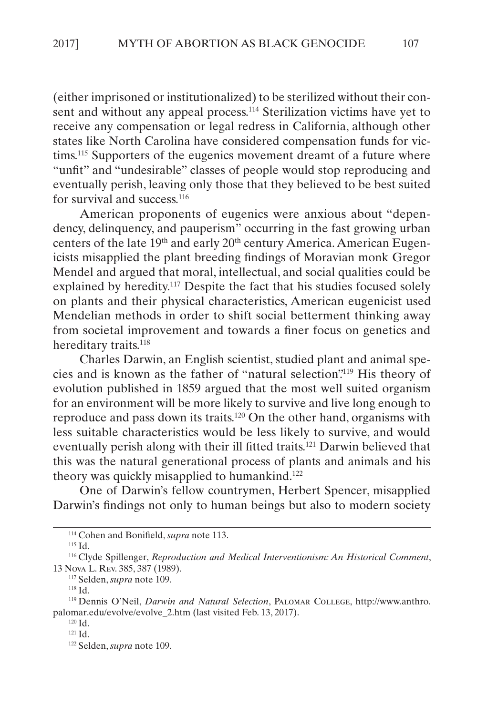(either imprisoned or institutionalized) to be sterilized without their consent and without any appeal process.<sup>114</sup> Sterilization victims have yet to receive any compensation or legal redress in California, although other states like North Carolina have considered compensation funds for victims.<sup>115</sup> Supporters of the eugenics movement dreamt of a future where "unfit" and "undesirable" classes of people would stop reproducing and eventually perish, leaving only those that they believed to be best suited for survival and success.<sup>116</sup>

American proponents of eugenics were anxious about "dependency, delinquency, and pauperism" occurring in the fast growing urban centers of the late 19<sup>th</sup> and early 20<sup>th</sup> century America. American Eugenicists misapplied the plant breeding findings of Moravian monk Gregor Mendel and argued that moral, intellectual, and social qualities could be explained by heredity.<sup>117</sup> Despite the fact that his studies focused solely on plants and their physical characteristics, American eugenicist used Mendelian methods in order to shift social betterment thinking away from societal improvement and towards a finer focus on genetics and hereditary traits.<sup>118</sup>

Charles Darwin, an English scientist, studied plant and animal species and is known as the father of "natural selection".119 His theory of evolution published in 1859 argued that the most well suited organism for an environment will be more likely to survive and live long enough to reproduce and pass down its traits.120 On the other hand, organisms with less suitable characteristics would be less likely to survive, and would eventually perish along with their ill fitted traits.121 Darwin believed that this was the natural generational process of plants and animals and his theory was quickly misapplied to humankind.<sup>122</sup>

One of Darwin's fellow countrymen, Herbert Spencer, misapplied Darwin's findings not only to human beings but also to modern society

<sup>114</sup> Cohen and Bonifield, *supra* note 113.

<sup>115</sup> Id.

<sup>116</sup> Clyde Spillenger, *Reproduction and Medical Interventionism: An Historical Comment*, 13 Nova L. Rev. 385, 387 (1989).

<sup>117</sup> Selden, *supra* note 109.

<sup>118</sup> Id.

<sup>119</sup> Dennis O'Neil, *Darwin and Natural Selection*, Palomar College, http://www.anthro. palomar.edu/evolve/evolve\_2.htm (last visited Feb. 13, 2017).

 $120$  Id. <sup>121</sup> Id.

<sup>122</sup> Selden, *supra* note 109.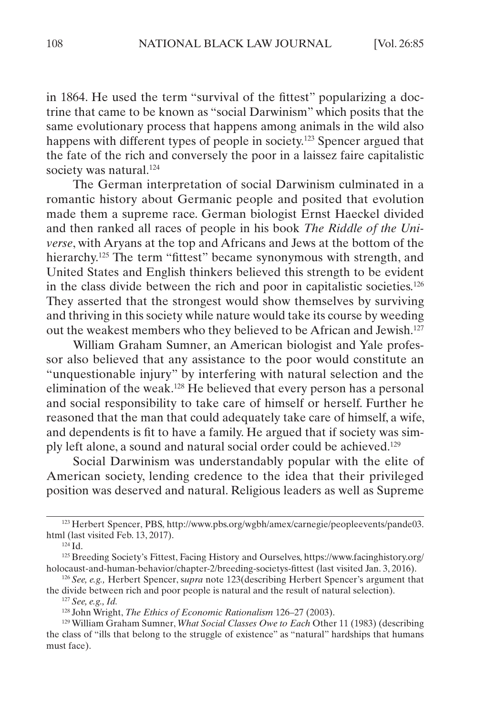in 1864. He used the term "survival of the fittest" popularizing a doctrine that came to be known as "social Darwinism" which posits that the same evolutionary process that happens among animals in the wild also happens with different types of people in society.<sup>123</sup> Spencer argued that the fate of the rich and conversely the poor in a laissez faire capitalistic society was natural.<sup>124</sup>

The German interpretation of social Darwinism culminated in a romantic history about Germanic people and posited that evolution made them a supreme race. German biologist Ernst Haeckel divided and then ranked all races of people in his book *The Riddle of the Universe*, with Aryans at the top and Africans and Jews at the bottom of the hierarchy.<sup>125</sup> The term "fittest" became synonymous with strength, and United States and English thinkers believed this strength to be evident in the class divide between the rich and poor in capitalistic societies.126 They asserted that the strongest would show themselves by surviving and thriving in this society while nature would take its course by weeding out the weakest members who they believed to be African and Jewish.127

William Graham Sumner, an American biologist and Yale professor also believed that any assistance to the poor would constitute an "unquestionable injury" by interfering with natural selection and the elimination of the weak.128 He believed that every person has a personal and social responsibility to take care of himself or herself. Further he reasoned that the man that could adequately take care of himself, a wife, and dependents is fit to have a family. He argued that if society was simply left alone, a sound and natural social order could be achieved.129

Social Darwinism was understandably popular with the elite of American society, lending credence to the idea that their privileged position was deserved and natural. Religious leaders as well as Supreme

<sup>123</sup> Herbert Spencer, PBS, http://www.pbs.org/wgbh/amex/carnegie/peopleevents/pande03. html (last visited Feb. 13, 2017).

 $124$  Id.

<sup>125</sup> Breeding Society's Fittest, Facing History and Ourselves, https://www.facinghistory.org/ holocaust-and-human-behavior/chapter-2/breeding-societys-fittest (last visited Jan. 3, 2016).

<sup>126</sup> *See, e.g.,* Herbert Spencer, s*upra* note 123(describing Herbert Spencer's argument that the divide between rich and poor people is natural and the result of natural selection).

<sup>127</sup> *See, e.g., Id.*

<sup>128</sup> John Wright, *The Ethics of Economic Rationalism* 126–27 (2003).

<sup>129</sup> William Graham Sumner, *What Social Classes Owe to Each* Other 11 (1983) (describing the class of "ills that belong to the struggle of existence" as "natural" hardships that humans must face).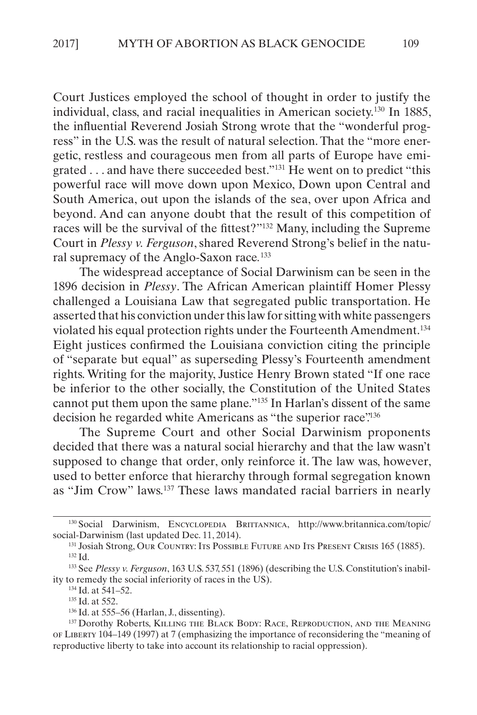Court Justices employed the school of thought in order to justify the individual, class, and racial inequalities in American society.130 In 1885, the influential Reverend Josiah Strong wrote that the "wonderful progress" in the U.S. was the result of natural selection. That the "more energetic, restless and courageous men from all parts of Europe have emigrated . . . and have there succeeded best."131 He went on to predict "this powerful race will move down upon Mexico, Down upon Central and South America, out upon the islands of the sea, over upon Africa and beyond. And can anyone doubt that the result of this competition of races will be the survival of the fittest?"132 Many, including the Supreme Court in *Plessy v. Ferguson*, shared Reverend Strong's belief in the natural supremacy of the Anglo-Saxon race*.* 133

The widespread acceptance of Social Darwinism can be seen in the 1896 decision in *Plessy*. The African American plaintiff Homer Plessy challenged a Louisiana Law that segregated public transportation. He asserted that his conviction under this law for sitting with white passengers violated his equal protection rights under the Fourteenth Amendment.134 Eight justices confirmed the Louisiana conviction citing the principle of "separate but equal" as superseding Plessy's Fourteenth amendment rights. Writing for the majority, Justice Henry Brown stated "If one race be inferior to the other socially, the Constitution of the United States cannot put them upon the same plane."135 In Harlan's dissent of the same decision he regarded white Americans as "the superior race".<sup>136</sup>

The Supreme Court and other Social Darwinism proponents decided that there was a natural social hierarchy and that the law wasn't supposed to change that order, only reinforce it. The law was, however, used to better enforce that hierarchy through formal segregation known as "Jim Crow" laws.137 These laws mandated racial barriers in nearly

<sup>130</sup> Social Darwinism, ENCYCLOPEDIA BRITTANNICA, http://www.britannica.com/topic/ social-Darwinism (last updated Dec. 11, 2014).

<sup>131</sup> Josiah Strong, Our Country: Its Possible Future and Its Present Crisis 165 (1885). <sup>132</sup> Id.

<sup>133</sup> See *Plessy v. Ferguson*, 163 U.S. 537, 551 (1896) (describing the U.S. Constitution's inability to remedy the social inferiority of races in the US).

 $134$  Id. at 541–52.

<sup>135</sup> Id. at 552.

<sup>136</sup> Id. at 555–56 (Harlan, J., dissenting).

<sup>137</sup> Dorothy Roberts, Killing the Black Body: Race, Reproduction, and the Meaning of Liberty 104–149 (1997) at 7 (emphasizing the importance of reconsidering the "meaning of reproductive liberty to take into account its relationship to racial oppression).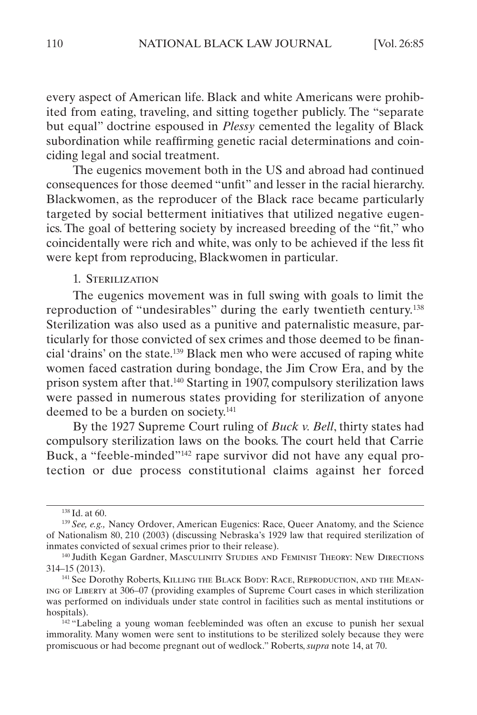<span id="page-26-0"></span>every aspect of American life. Black and white Americans were prohibited from eating, traveling, and sitting together publicly. The "separate but equal" doctrine espoused in *Plessy* cemented the legality of Black subordination while reaffirming genetic racial determinations and coinciding legal and social treatment.

The eugenics movement both in the US and abroad had continued consequences for those deemed "unfit" and lesser in the racial hierarchy. Blackwomen, as the reproducer of the Black race became particularly targeted by social betterment initiatives that utilized negative eugenics. The goal of bettering society by increased breeding of the "fit," who coincidentally were rich and white, was only to be achieved if the less fit were kept from reproducing, Blackwomen in particular.

### 1. Sterilization

The eugenics movement was in full swing with goals to limit the reproduction of "undesirables" during the early twentieth century.138 Sterilization was also used as a punitive and paternalistic measure, particularly for those convicted of sex crimes and those deemed to be financial 'drains' on the state.139 Black men who were accused of raping white women faced castration during bondage, the Jim Crow Era, and by the prison system after that.140 Starting in 1907, compulsory sterilization laws were passed in numerous states providing for sterilization of anyone deemed to be a burden on society.<sup>141</sup>

By the 1927 Supreme Court ruling of *Buck v. Bell*, thirty states had compulsory sterilization laws on the books. The court held that Carrie Buck, a "feeble-minded"<sup>142</sup> rape survivor did not have any equal protection or due process constitutional claims against her forced

<sup>138</sup> Id. at 60.

<sup>139</sup> *See, e.g.,* Nancy Ordover, American Eugenics: Race, Queer Anatomy, and the Science of Nationalism 80, 210 (2003) (discussing Nebraska's 1929 law that required sterilization of inmates convicted of sexual crimes prior to their release).

<sup>140</sup> Judith Kegan Gardner, Masculinity Studies and Feminist Theory: New Directions 314–15 (2013).

<sup>141</sup> See Dorothy Roberts, Killing the Black Body: Race, Reproduction, and the Meaning of Liberty at 306–07 (providing examples of Supreme Court cases in which sterilization was performed on individuals under state control in facilities such as mental institutions or hospitals).

<sup>&</sup>lt;sup>142</sup> "Labeling a young woman feebleminded was often an excuse to punish her sexual immorality. Many women were sent to institutions to be sterilized solely because they were promiscuous or had become pregnant out of wedlock." Roberts, *supra* note 14, at 70.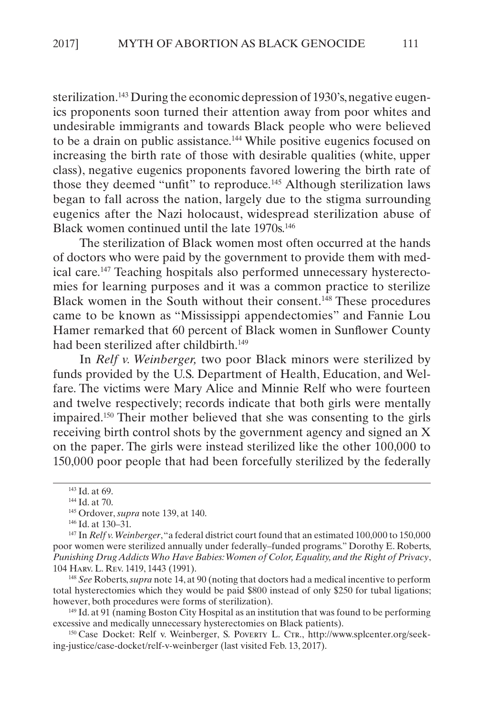sterilization.<sup>143</sup> During the economic depression of 1930's, negative eugenics proponents soon turned their attention away from poor whites and undesirable immigrants and towards Black people who were believed to be a drain on public assistance.144 While positive eugenics focused on increasing the birth rate of those with desirable qualities (white, upper class), negative eugenics proponents favored lowering the birth rate of those they deemed "unfit" to reproduce.<sup>145</sup> Although sterilization laws began to fall across the nation, largely due to the stigma surrounding eugenics after the Nazi holocaust, widespread sterilization abuse of Black women continued until the late 1970s.<sup>146</sup>

The sterilization of Black women most often occurred at the hands of doctors who were paid by the government to provide them with medical care.147 Teaching hospitals also performed unnecessary hysterectomies for learning purposes and it was a common practice to sterilize Black women in the South without their consent.148 These procedures came to be known as "Mississippi appendectomies" and Fannie Lou Hamer remarked that 60 percent of Black women in Sunflower County had been sterilized after childbirth.<sup>149</sup>

In *Relf v. Weinberger,* two poor Black minors were sterilized by funds provided by the U.S. Department of Health, Education, and Welfare. The victims were Mary Alice and Minnie Relf who were fourteen and twelve respectively; records indicate that both girls were mentally impaired.150 Their mother believed that she was consenting to the girls receiving birth control shots by the government agency and signed an X on the paper. The girls were instead sterilized like the other 100,000 to 150,000 poor people that had been forcefully sterilized by the federally

<sup>148</sup> *See* Roberts, *supra* note 14, at 90 (noting that doctors had a medical incentive to perform total hysterectomies which they would be paid \$800 instead of only \$250 for tubal ligations; however, both procedures were forms of sterilization).

149 Id. at 91 (naming Boston City Hospital as an institution that was found to be performing excessive and medically unnecessary hysterectomies on Black patients).

150 Case Docket: Relf v. Weinberger, S. Poverty L. CTR., http://www.splcenter.org/seeking-justice/case-docket/relf-v-weinberger (last visited Feb. 13, 2017).

<sup>143</sup> Id. at 69.

<sup>144</sup> Id. at 70.

<sup>145</sup> Ordover, *supra* note 139, at 140.

<sup>146</sup> Id. at 130–31.

<sup>147</sup> In *Relf v. Weinberger*, "a federal district court found that an estimated 100,000 to 150,000 poor women were sterilized annually under federally–funded programs." Dorothy E. Roberts, *Punishing Drug Addicts Who Have Babies: Women of Color, Equality, and the Right of Privacy*, 104 Harv. L. Rev. 1419, 1443 (1991).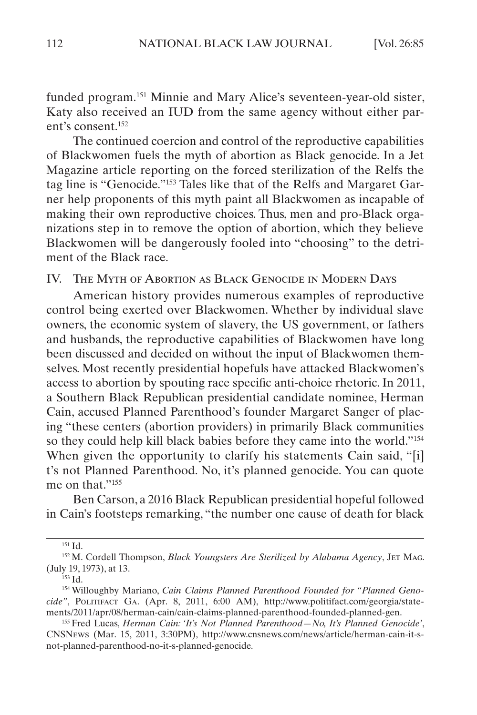<span id="page-28-0"></span>funded program.151 Minnie and Mary Alice's seventeen-year-old sister, Katy also received an IUD from the same agency without either parent's consent.152

The continued coercion and control of the reproductive capabilities of Blackwomen fuels the myth of abortion as Black genocide. In a Jet Magazine article reporting on the forced sterilization of the Relfs the tag line is "Genocide."153 Tales like that of the Relfs and Margaret Garner help proponents of this myth paint all Blackwomen as incapable of making their own reproductive choices. Thus, men and pro-Black organizations step in to remove the option of abortion, which they believe Blackwomen will be dangerously fooled into "choosing" to the detriment of the Black race.

IV. The Myth of Abortion as Black Genocide in Modern Days

American history provides numerous examples of reproductive control being exerted over Blackwomen. Whether by individual slave owners, the economic system of slavery, the US government, or fathers and husbands, the reproductive capabilities of Blackwomen have long been discussed and decided on without the input of Blackwomen themselves. Most recently presidential hopefuls have attacked Blackwomen's access to abortion by spouting race specific anti-choice rhetoric. In 2011, a Southern Black Republican presidential candidate nominee, Herman Cain, accused Planned Parenthood's founder Margaret Sanger of placing "these centers (abortion providers) in primarily Black communities so they could help kill black babies before they came into the world."154 When given the opportunity to clarify his statements Cain said, "[i] t's not Planned Parenthood. No, it's planned genocide. You can quote me on that."155

Ben Carson, a 2016 Black Republican presidential hopeful followed in Cain's footsteps remarking, "the number one cause of death for black

<sup>151</sup> Id.

<sup>152</sup> M. Cordell Thompson, *Black Youngsters Are Sterilized by Alabama Agency*, Jet Mag. (July 19, 1973), at 13.

<sup>153</sup> Id.

<sup>154</sup> Willoughby Mariano, *Cain Claims Planned Parenthood Founded for "Planned Genocide"*, Politifact Ga. (Apr. 8, 2011, 6:00 AM), http://www.politifact.com/georgia/statements/2011/apr/08/herman-cain/cain-claims-planned-parenthood-founded-planned-gen.

<sup>155</sup> Fred Lucas, *Herman Cain: 'It's Not Planned Parenthood—No, It's Planned Genocide'*, CNSNews (Mar. 15, 2011, 3:30PM), http://www.cnsnews.com/news/article/herman-cain-it-snot-planned-parenthood-no-it-s-planned-genocide.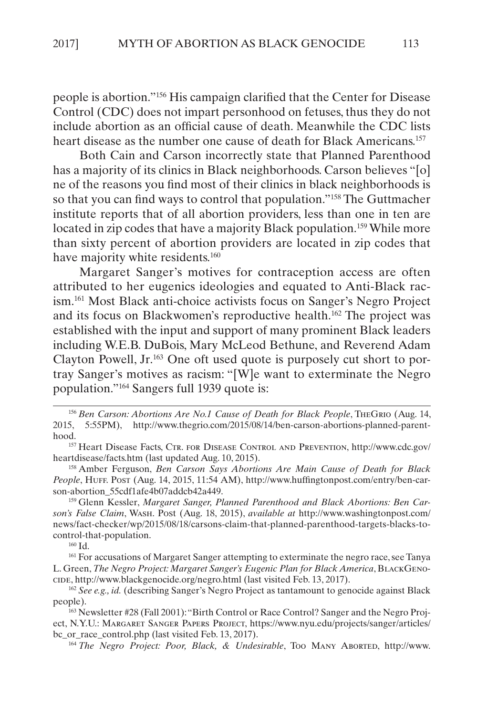people is abortion."156 His campaign clarified that the Center for Disease Control (CDC) does not impart personhood on fetuses, thus they do not include abortion as an official cause of death. Meanwhile the CDC lists heart disease as the number one cause of death for Black Americans.<sup>157</sup>

Both Cain and Carson incorrectly state that Planned Parenthood has a majority of its clinics in Black neighborhoods. Carson believes "[o] ne of the reasons you find most of their clinics in black neighborhoods is so that you can find ways to control that population."158 The Guttmacher institute reports that of all abortion providers, less than one in ten are located in zip codes that have a majority Black population.<sup>159</sup> While more than sixty percent of abortion providers are located in zip codes that have majority white residents.<sup>160</sup>

Margaret Sanger's motives for contraception access are often attributed to her eugenics ideologies and equated to Anti-Black racism.161 Most Black anti-choice activists focus on Sanger's Negro Project and its focus on Blackwomen's reproductive health.162 The project was established with the input and support of many prominent Black leaders including W.E.B. DuBois, Mary McLeod Bethune, and Reverend Adam Clayton Powell, Jr.163 One oft used quote is purposely cut short to portray Sanger's motives as racism: "[W]e want to exterminate the Negro population."164 Sangers full 1939 quote is:

156 Ben Carson: Abortions Are No.1 Cause of Death for Black People, THEGRIO (Aug. 14, 2015, 5:55PM), http://www.thegrio.com/2015/08/14/ben-carson-abortions-planned-parenthood.

<sup>157</sup> Heart Disease Facts, Ctr. for Disease Control and Prevention, http://www.cdc.gov/ heartdisease/facts.htm (last updated Aug. 10, 2015).

<sup>158</sup> Amber Ferguson, *Ben Carson Says Abortions Are Main Cause of Death for Black*  People, HuFF. Post (Aug. 14, 2015, 11:54 AM), http://www.huffingtonpost.com/entry/ben-carson-abortion\_55cdf1afe4b07addcb42a449.

<sup>159</sup> Glenn Kessler, *Margaret Sanger, Planned Parenthood and Black Abortions: Ben Carson's False Claim*, Wash. Post (Aug. 18, 2015), *available at* http://www.washingtonpost.com/ news/fact-checker/wp/2015/08/18/carsons-claim-that-planned-parenthood-targets-blacks-tocontrol-that-population.

 $160$  Id.

<sup>161</sup> For accusations of Margaret Sanger attempting to exterminate the negro race, see Tanya L. Green, *The Negro Project: Margaret Sanger's Eugenic Plan for Black America*, BLACKGENOcide, http://www.blackgenocide.org/negro.html (last visited Feb. 13, 2017).

<sup>162</sup> See e.g., id. (describing Sanger's Negro Project as tantamount to genocide against Black people).

<sup>163</sup> Newsletter #28 (Fall 2001): "Birth Control or Race Control? Sanger and the Negro Project, N.Y.U.: Margaret Sanger Papers Project, https://www.nyu.edu/projects/sanger/articles/ bc\_or\_race\_control.php (last visited Feb. 13, 2017).

<sup>164</sup> *The Negro Project: Poor, Black, & Undesirable*, Too Many Aborted, http://www.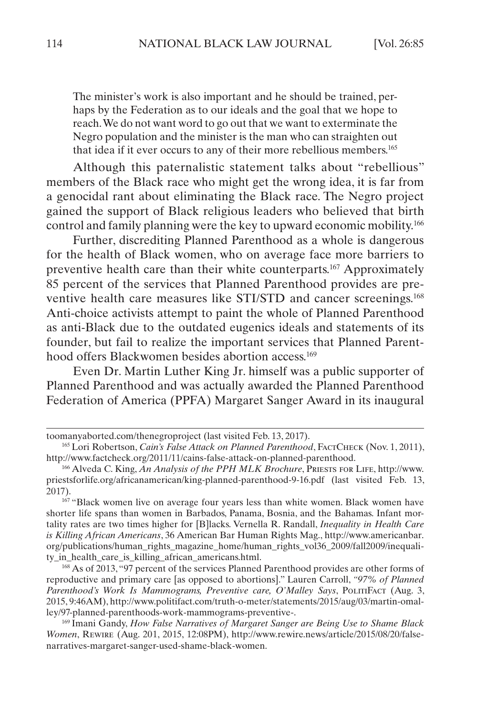The minister's work is also important and he should be trained, perhaps by the Federation as to our ideals and the goal that we hope to reach. We do not want word to go out that we want to exterminate the Negro population and the minister is the man who can straighten out that idea if it ever occurs to any of their more rebellious members.165

Although this paternalistic statement talks about "rebellious" members of the Black race who might get the wrong idea, it is far from a genocidal rant about eliminating the Black race. The Negro project gained the support of Black religious leaders who believed that birth control and family planning were the key to upward economic mobility.166

Further, discrediting Planned Parenthood as a whole is dangerous for the health of Black women, who on average face more barriers to preventive health care than their white counterparts.<sup>167</sup> Approximately 85 percent of the services that Planned Parenthood provides are preventive health care measures like STI/STD and cancer screenings.168 Anti-choice activists attempt to paint the whole of Planned Parenthood as anti-Black due to the outdated eugenics ideals and statements of its founder, but fail to realize the important services that Planned Parenthood offers Blackwomen besides abortion access.<sup>169</sup>

Even Dr. Martin Luther King Jr. himself was a public supporter of Planned Parenthood and was actually awarded the Planned Parenthood Federation of America (PPFA) Margaret Sanger Award in its inaugural

<sup>168</sup> As of 2013, "97 percent of the services Planned Parenthood provides are other forms of reproductive and primary care [as opposed to abortions]." Lauren Carroll, *"97% of Planned*  Parenthood's Work Is Mammograms, Preventive care, O'Malley Says, PolitiFact (Aug. 3, 2015, 9:46AM), http://www.politifact.com/truth-o-meter/statements/2015/aug/03/martin-omalley/97-planned-parenthoods-work-mammograms-preventive-.

<sup>169</sup> Imani Gandy, *How False Narratives of Margaret Sanger are Being Use to Shame Black Women*, Rewire (Aug. 201, 2015, 12:08PM), http://www.rewire.news/article/2015/08/20/falsenarratives-margaret-sanger-used-shame-black-women.

toomanyaborted.com/thenegroproject (last visited Feb. 13, 2017).

<sup>&</sup>lt;sup>165</sup> Lori Robertson, *Cain's False Attack on Planned Parenthood*, FACTCHECK (Nov. 1, 2011), http://www.factcheck.org/2011/11/cains-false-attack-on-planned-parenthood.

<sup>166</sup> Alveda C. King, *An Analysis of the PPH MLK Brochure*, Priests for Life, http://www. priestsforlife.org/africanamerican/king-planned-parenthood-9-16.pdf (last visited Feb. 13, 2017).

<sup>167</sup> "Black women live on average four years less than white women. Black women have shorter life spans than women in Barbados, Panama, Bosnia, and the Bahamas. Infant mortality rates are two times higher for [B]lacks. Vernella R. Randall, *Inequality in Health Care is Killing African Americans*, 36 American Bar Human Rights Mag., http://www.americanbar. org/publications/human\_rights\_magazine\_home/human\_rights\_vol36\_2009/fall2009/inequality in health care is killing african americans.html.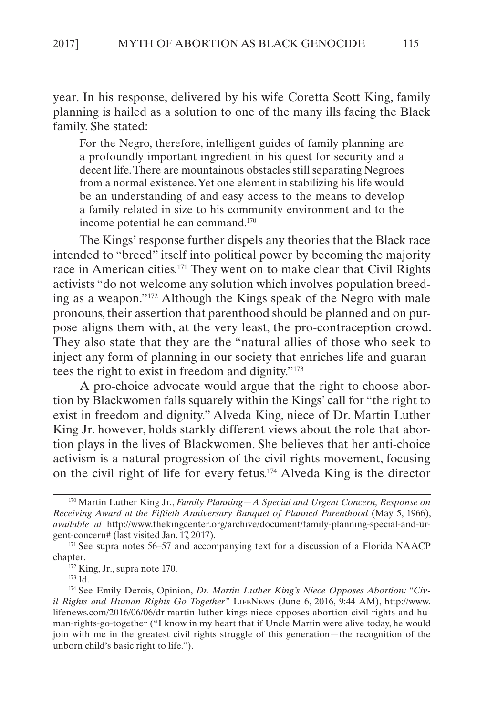year. In his response, delivered by his wife Coretta Scott King, family planning is hailed as a solution to one of the many ills facing the Black family. She stated:

For the Negro, therefore, intelligent guides of family planning are a profoundly important ingredient in his quest for security and a decent life. There are mountainous obstacles still separating Negroes from a normal existence. Yet one element in stabilizing his life would be an understanding of and easy access to the means to develop a family related in size to his community environment and to the income potential he can command.170

The Kings' response further dispels any theories that the Black race intended to "breed" itself into political power by becoming the majority race in American cities.171 They went on to make clear that Civil Rights activists "do not welcome any solution which involves population breeding as a weapon."172 Although the Kings speak of the Negro with male pronouns, their assertion that parenthood should be planned and on purpose aligns them with, at the very least, the pro-contraception crowd. They also state that they are the "natural allies of those who seek to inject any form of planning in our society that enriches life and guarantees the right to exist in freedom and dignity."173

A pro-choice advocate would argue that the right to choose abortion by Blackwomen falls squarely within the Kings' call for "the right to exist in freedom and dignity." Alveda King, niece of Dr. Martin Luther King Jr. however, holds starkly different views about the role that abortion plays in the lives of Blackwomen. She believes that her anti-choice activism is a natural progression of the civil rights movement, focusing on the civil right of life for every fetus.174 Alveda King is the director

<sup>170</sup> Martin Luther King Jr., *Family Planning—A Special and Urgent Concern, Response on Receiving Award at the Fiftieth Anniversary Banquet of Planned Parenthood* (May 5, 1966), *available at* http://www.thekingcenter.org/archive/document/family-planning-special-and-urgent-concern# (last visited Jan. 17, 2017).

 $171$  See supra notes 56–57 and accompanying text for a discussion of a Florida NAACP chapter.

<sup>&</sup>lt;sup>172</sup> King, Jr., supra note 170.

<sup>173</sup> Id.

<sup>174</sup> See Emily Derois, Opinion, *Dr. Martin Luther King's Niece Opposes Abortion: "Civil Rights and Human Rights Go Together"* LIFENEWS (June 6, 2016, 9:44 AM), http://www. lifenews.com/2016/06/06/dr-martin-luther-kings-niece-opposes-abortion-civil-rights-and-human-rights-go-together ("I know in my heart that if Uncle Martin were alive today, he would join with me in the greatest civil rights struggle of this generation—the recognition of the unborn child's basic right to life.").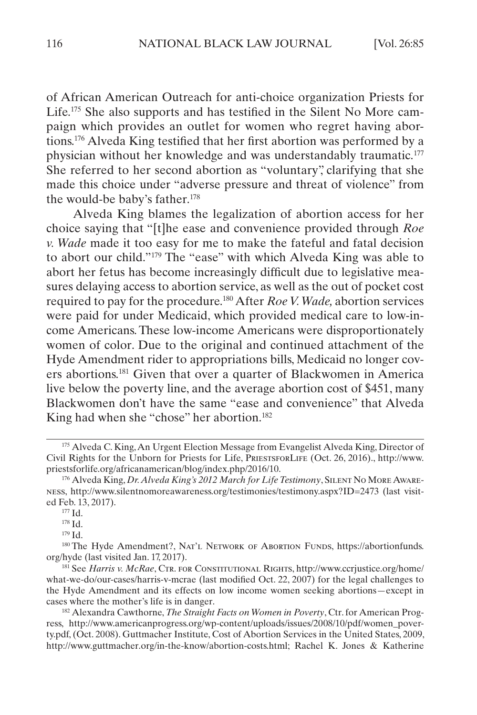of African American Outreach for anti-choice organization Priests for Life.175 She also supports and has testified in the Silent No More campaign which provides an outlet for women who regret having abortions.176 Alveda King testified that her first abortion was performed by a physician without her knowledge and was understandably traumatic.177 She referred to her second abortion as "voluntary", clarifying that she made this choice under "adverse pressure and threat of violence" from the would-be baby's father.<sup>178</sup>

Alveda King blames the legalization of abortion access for her choice saying that "[t]he ease and convenience provided through *Roe v. Wade* made it too easy for me to make the fateful and fatal decision to abort our child."179 The "ease" with which Alveda King was able to abort her fetus has become increasingly difficult due to legislative measures delaying access to abortion service, as well as the out of pocket cost required to pay for the procedure.180 After *Roe V. Wade,* abortion services were paid for under Medicaid, which provided medical care to low-income Americans. These low-income Americans were disproportionately women of color. Due to the original and continued attachment of the Hyde Amendment rider to appropriations bills, Medicaid no longer covers abortions.181 Given that over a quarter of Blackwomen in America live below the poverty line, and the average abortion cost of \$451, many Blackwomen don't have the same "ease and convenience" that Alveda King had when she "chose" her abortion.<sup>182</sup>

<sup>178</sup> Id.

<sup>179</sup> Id.

<sup>175</sup> Alveda C. King, An Urgent Election Message from Evangelist Alveda King, Director of Civil Rights for the Unborn for Priests for Life, PriestsforLife (Oct. 26, 2016)., http://www. priestsforlife.org/africanamerican/blog/index.php/2016/10.

<sup>176</sup> Alveda King, *Dr. Alveda King's 2012 March for Life Testimony*, SILENT NO MORE AWAREness, http://www.silentnomoreawareness.org/testimonies/testimony.aspx?ID=2473 (last visited Feb. 13, 2017).

 $177$  Id.

<sup>&</sup>lt;sup>180</sup> The Hyde Amendment?, NAT'L NETWORK OF ABORTION FUNDS, https://abortionfunds. org/hyde (last visited Jan. 17, 2017).

<sup>&</sup>lt;sup>181</sup> See *Harris v. McRae*, CTR. FOR CONSTITUTIONAL RIGHTS, http://www.ccrjustice.org/home/ what-we-do/our-cases/harris-v-mcrae (last modified Oct. 22, 2007) for the legal challenges to the Hyde Amendment and its effects on low income women seeking abortions—except in cases where the mother's life is in danger.

<sup>182</sup> Alexandra Cawthorne, *The Straight Facts on Women in Poverty*, Ctr. for American Progress, http://www.americanprogress.org/wp-content/uploads/issues/2008/10/pdf/women\_poverty.pdf, (Oct. 2008). Guttmacher Institute, Cost of Abortion Services in the United States, 2009, http://www.guttmacher.org/in-the-know/abortion-costs.html; Rachel K. Jones & Katherine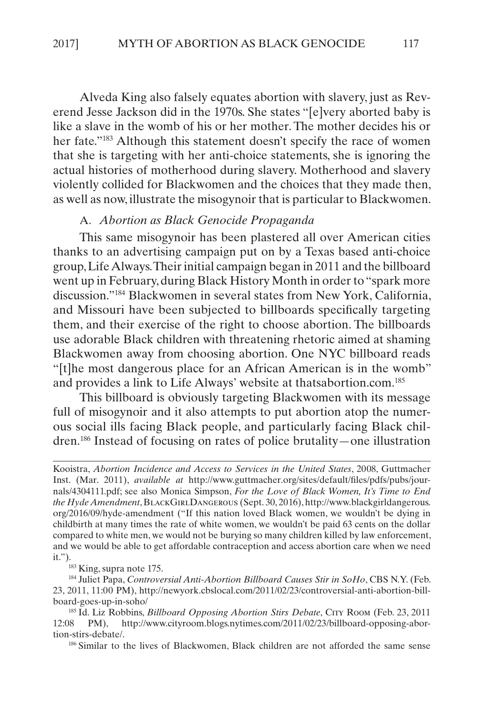<span id="page-33-0"></span>Alveda King also falsely equates abortion with slavery, just as Reverend Jesse Jackson did in the 1970s. She states "[e]very aborted baby is like a slave in the womb of his or her mother. The mother decides his or her fate."183 Although this statement doesn't specify the race of women that she is targeting with her anti-choice statements, she is ignoring the actual histories of motherhood during slavery. Motherhood and slavery violently collided for Blackwomen and the choices that they made then, as well as now, illustrate the misogynoir that is particular to Blackwomen.

#### A. *Abortion as Black Genocide Propaganda*

This same misogynoir has been plastered all over American cities thanks to an advertising campaign put on by a Texas based anti-choice group, Life Always. Their initial campaign began in 2011 and the billboard went up in February, during Black History Month in order to "spark more discussion."184 Blackwomen in several states from New York, California, and Missouri have been subjected to billboards specifically targeting them, and their exercise of the right to choose abortion. The billboards use adorable Black children with threatening rhetoric aimed at shaming Blackwomen away from choosing abortion. One NYC billboard reads "[t]he most dangerous place for an African American is in the womb" and provides a link to Life Always' website at thatsabortion.com.<sup>185</sup>

This billboard is obviously targeting Blackwomen with its message full of misogynoir and it also attempts to put abortion atop the numerous social ills facing Black people, and particularly facing Black children.186 Instead of focusing on rates of police brutality—one illustration

<sup>184</sup> Juliet Papa, *Controversial Anti-Abortion Billboard Causes Stir in SoHo*, CBS N.Y. (Feb. 23, 2011, 11:00 PM), http://newyork.cbslocal.com/2011/02/23/controversial-anti-abortion-billboard-goes-up-in-soho/

<sup>185</sup> Id. Liz Robbins, *Billboard Opposing Abortion Stirs Debate*, City Room (Feb. 23, 2011 12:08 PM), http://www.cityroom.blogs.nytimes.com/2011/02/23/billboard-opposing-abortion-stirs-debate/.

<sup>186</sup> Similar to the lives of Blackwomen, Black children are not afforded the same sense

Kooistra, *Abortion Incidence and Access to Services in the United States*, 2008, Guttmacher Inst. (Mar. 2011), *available at* http://www.guttmacher.org/sites/default/files/pdfs/pubs/journals/4304111.pdf; see also Monica Simpson, *For the Love of Black Women, It's Time to End the Hyde Amendment*, BlackGirlDangerous (Sept. 30, 2016), http://www.blackgirldangerous. org/2016/09/hyde-amendment ("If this nation loved Black women, we wouldn't be dying in childbirth at many times the rate of white women, we wouldn't be paid 63 cents on the dollar compared to white men, we would not be burying so many children killed by law enforcement, and we would be able to get affordable contraception and access abortion care when we need it.").<br><sup>183</sup> King, supra note 175.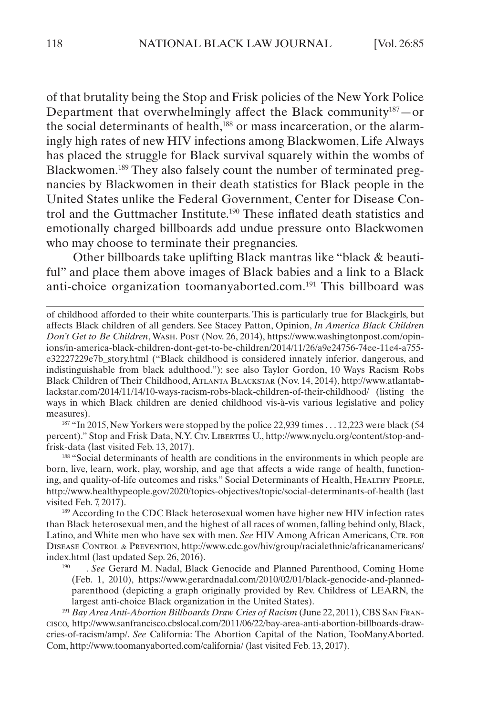of that brutality being the Stop and Frisk policies of the New York Police Department that overwhelmingly affect the Black community $187$  – or the social determinants of health,<sup>188</sup> or mass incarceration, or the alarmingly high rates of new HIV infections among Blackwomen, Life Always has placed the struggle for Black survival squarely within the wombs of Blackwomen.189 They also falsely count the number of terminated pregnancies by Blackwomen in their death statistics for Black people in the United States unlike the Federal Government, Center for Disease Control and the Guttmacher Institute.190 These inflated death statistics and emotionally charged billboards add undue pressure onto Blackwomen who may choose to terminate their pregnancies.

Other billboards take uplifting Black mantras like "black & beautiful" and place them above images of Black babies and a link to a Black anti-choice organization toomanyaborted.com.191 This billboard was

 $187$  "In 2015, New Yorkers were stopped by the police 22,939 times . . . 12,223 were black (54) percent)." Stop and Frisk Data, N.Y. Civ. Liberties U., http://www.nyclu.org/content/stop-andfrisk-data (last visited Feb. 13, 2017).

<sup>188</sup> "Social determinants of health are conditions in the environments in which people are born, live, learn, work, play, worship, and age that affects a wide range of health, functioning, and quality-of-life outcomes and risks." Social Determinants of Health, HEALTHY PEOPLE, http://www.healthypeople.gov/2020/topics-objectives/topic/social-determinants-of-health (last visited Feb. 7, 2017).

<sup>189</sup> According to the CDC Black heterosexual women have higher new HIV infection rates than Black heterosexual men, and the highest of all races of women, falling behind only, Black, Latino, and White men who have sex with men. *See* HIV Among African Americans, CTR. FOR Disease Control & Prevention, http://www.cdc.gov/hiv/group/racialethnic/africanamericans/ index.html (last updated Sep. 26, 2016).

. See Gerard M. Nadal, Black Genocide and Planned Parenthood, Coming Home (Feb. 1, 2010), [https://www.gerardnadal.com/2010/02/01/black-genocide-and-planned](https://www.gerardnadal.com/2010/02/01/black-genocide-and-planned-parenthood)[parenthood](https://www.gerardnadal.com/2010/02/01/black-genocide-and-planned-parenthood) (depicting a graph originally provided by Rev. Childress of LEARN, the largest anti-choice Black organization in the United States).

<sup>191</sup> *Bay Area Anti-Abortion Billboards Draw Cries of Racism* (June 22, 2011), CBS San Francisco, http://www.sanfrancisco.cbslocal.com/2011/06/22/bay-area-anti-abortion-billboards-drawcries-of-racism/amp/. *See* California: The Abortion Capital of the Nation, TooManyAborted. Com, http://www.toomanyaborted.com/california/ (last visited Feb. 13, 2017).

of childhood afforded to their white counterparts. This is particularly true for Blackgirls, but affects Black children of all genders. See Stacey Patton, Opinion, *In America Black Children Don't Get to Be Children*, Wash. Post (Nov. 26, 2014), https://www.washingtonpost.com/opinions/in-america-black-children-dont-get-to-be-children/2014/11/26/a9e24756-74ee-11e4-a755 e32227229e7b\_story.html ("Black childhood is considered innately inferior, dangerous, and indistinguishable from black adulthood."); see also Taylor Gordon, 10 Ways Racism Robs Black Children of Their Childhood, Atlanta Blackstar (Nov. 14, 2014), http://www.atlantablackstar.com/2014/11/14/10-ways-racism-robs-black-children-of-their-childhood/ (listing the ways in which Black children are denied childhood vis-à-vis various legislative and policy measures).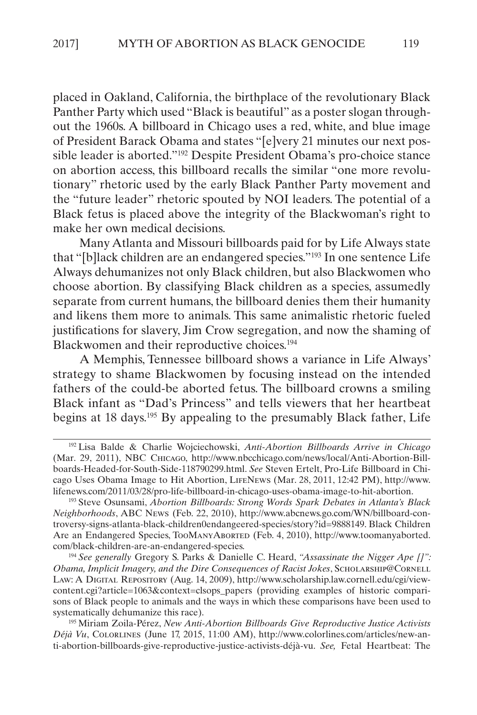placed in Oakland, California, the birthplace of the revolutionary Black Panther Party which used "Black is beautiful" as a poster slogan throughout the 1960s. A billboard in Chicago uses a red, white, and blue image of President Barack Obama and states "[e]very 21 minutes our next possible leader is aborted."192 Despite President Obama's pro-choice stance on abortion access, this billboard recalls the similar "one more revolutionary" rhetoric used by the early Black Panther Party movement and the "future leader" rhetoric spouted by NOI leaders. The potential of a Black fetus is placed above the integrity of the Blackwoman's right to make her own medical decisions.

Many Atlanta and Missouri billboards paid for by Life Always state that "[b]lack children are an endangered species."193 In one sentence Life Always dehumanizes not only Black children, but also Blackwomen who choose abortion. By classifying Black children as a species, assumedly separate from current humans, the billboard denies them their humanity and likens them more to animals. This same animalistic rhetoric fueled justifications for slavery, Jim Crow segregation, and now the shaming of Blackwomen and their reproductive choices.194

A Memphis, Tennessee billboard shows a variance in Life Always' strategy to shame Blackwomen by focusing instead on the intended fathers of the could-be aborted fetus. The billboard crowns a smiling Black infant as "Dad's Princess" and tells viewers that her heartbeat begins at 18 days.195 By appealing to the presumably Black father, Life

<sup>194</sup> *See generally* Gregory S. Parks & Danielle C. Heard, *"Assassinate the Nigger Ape []": Obama, Implicit Imagery, and the Dire Consequences of Racist Jokes*, Scholarship@Cornell Law: A Digital Repository (Aug. 14, 2009), http://www.scholarship.law.cornell.edu/cgi/viewcontent.cgi?article=1063&context=clsops\_papers (providing examples of historic comparisons of Black people to animals and the ways in which these comparisons have been used to systematically dehumanize this race).

<sup>195</sup> Miriam Zoila-Pérez, *New Anti-Abortion Billboards Give Reproductive Justice Activists Déjà Vu*, Colorlines (June 17, 2015, 11:00 AM), http://www.colorlines.com/articles/new-anti-abortion-billboards-give-reproductive-justice-activists-déjà-vu. *See,* Fetal Heartbeat: The

<sup>192</sup> Lisa Balde & Charlie Wojciechowski, *Anti-Abortion Billboards Arrive in Chicago*  (Mar. 29, 2011), NBC Chicago, [http://www.nbcchicago.com/news/local/Anti-Abortion-Bill](http://www.nbcchicago.com/news/local/Anti-Abortion-Billboards-Headed-for-South-Side-118790299.html)[boards-Headed-for-South-Side-118790299.html.](http://www.nbcchicago.com/news/local/Anti-Abortion-Billboards-Headed-for-South-Side-118790299.html) *See* Steven Ertelt, Pro-Life Billboard in Chicago Uses Obama Image to Hit Abortion, LifeNews (Mar. 28, 2011, 12:42 PM), http://www. lifenews.com/2011/03/28/pro-life-billboard-in-chicago-uses-obama-image-to-hit-abortion.

<sup>193</sup> Steve Osunsami, *Abortion Billboards: Strong Words Spark Debates in Atlanta's Black Neighborhoods*, ABC News (Feb. 22, 2010), http://www.abcnews.go.com/WN/billboard-controversy-signs-atlanta-black-children0endangeered-species/story?id=9888149. Black Children Are an Endangered Species, TooManyAborted (Feb. 4, 2010), http://www.toomanyaborted. com/black-children-are-an-endangered-species.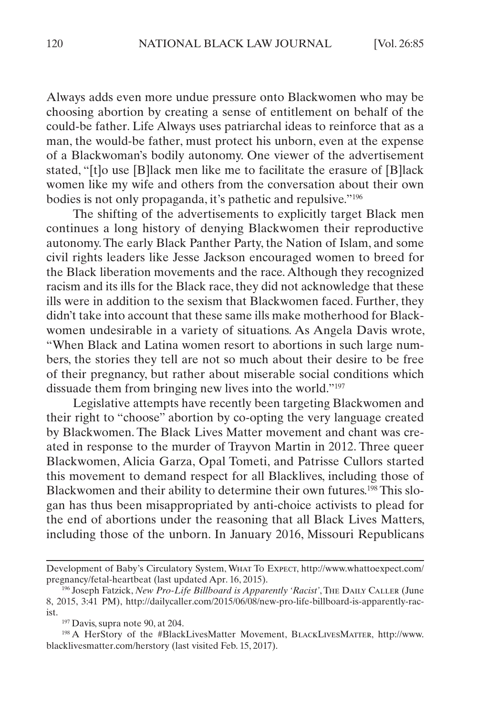Always adds even more undue pressure onto Blackwomen who may be choosing abortion by creating a sense of entitlement on behalf of the could-be father. Life Always uses patriarchal ideas to reinforce that as a man, the would-be father, must protect his unborn, even at the expense of a Blackwoman's bodily autonomy. One viewer of the advertisement stated, "[t]o use [B]lack men like me to facilitate the erasure of [B]lack women like my wife and others from the conversation about their own bodies is not only propaganda, it's pathetic and repulsive."196

The shifting of the advertisements to explicitly target Black men continues a long history of denying Blackwomen their reproductive autonomy. The early Black Panther Party, the Nation of Islam, and some civil rights leaders like Jesse Jackson encouraged women to breed for the Black liberation movements and the race. Although they recognized racism and its ills for the Black race, they did not acknowledge that these ills were in addition to the sexism that Blackwomen faced. Further, they didn't take into account that these same ills make motherhood for Blackwomen undesirable in a variety of situations. As Angela Davis wrote, "When Black and Latina women resort to abortions in such large numbers, the stories they tell are not so much about their desire to be free of their pregnancy, but rather about miserable social conditions which dissuade them from bringing new lives into the world."197

Legislative attempts have recently been targeting Blackwomen and their right to "choose" abortion by co-opting the very language created by Blackwomen. The Black Lives Matter movement and chant was created in response to the murder of Trayvon Martin in 2012. Three queer Blackwomen, Alicia Garza, Opal Tometi, and Patrisse Cullors started this movement to demand respect for all Blacklives, including those of Blackwomen and their ability to determine their own futures.198 This slogan has thus been misappropriated by anti-choice activists to plead for the end of abortions under the reasoning that all Black Lives Matters, including those of the unborn. In January 2016, Missouri Republicans

Development of Baby's Circulatory System, What To Expect, http://www.whattoexpect.com/ pregnancy/fetal-heartbeat (last updated Apr. 16, 2015).

<sup>&</sup>lt;sup>196</sup> Joseph Fatzick, *New Pro-Life Billboard is Apparently 'Racist'*, The DAILY CALLER (June 8, 2015, 3:41 PM), http://dailycaller.com/2015/06/08/new-pro-life-billboard-is-apparently-racist.

 $197$  Davis, supra note 90, at 204.

<sup>198</sup> A HerStory of the #BlackLivesMatter Movement, BlackLivesMatter, http://www. blacklivesmatter.com/herstory (last visited Feb. 15, 2017).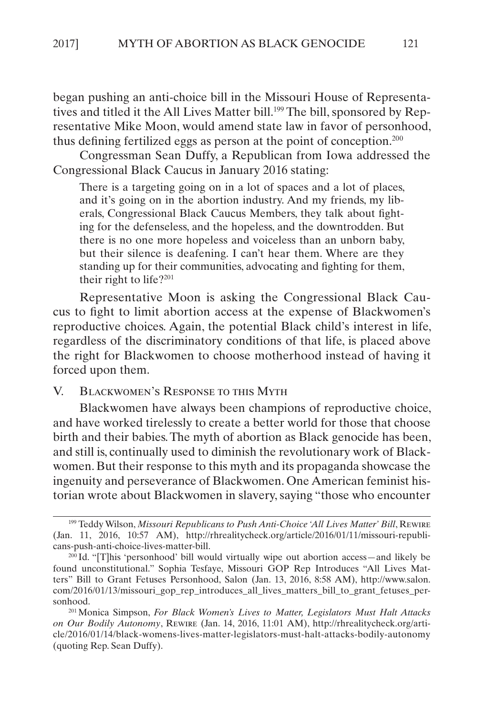<span id="page-37-0"></span>began pushing an anti-choice bill in the Missouri House of Representatives and titled it the All Lives Matter bill.<sup>199</sup> The bill, sponsored by Representative Mike Moon, would amend state law in favor of personhood, thus defining fertilized eggs as person at the point of conception.200

Congressman Sean Duffy, a Republican from Iowa addressed the Congressional Black Caucus in January 2016 stating:

There is a targeting going on in a lot of spaces and a lot of places, and it's going on in the abortion industry. And my friends, my liberals, Congressional Black Caucus Members, they talk about fighting for the defenseless, and the hopeless, and the downtrodden. But there is no one more hopeless and voiceless than an unborn baby, but their silence is deafening. I can't hear them. Where are they standing up for their communities, advocating and fighting for them, their right to life?<sup>201</sup>

Representative Moon is asking the Congressional Black Caucus to fight to limit abortion access at the expense of Blackwomen's reproductive choices. Again, the potential Black child's interest in life, regardless of the discriminatory conditions of that life, is placed above the right for Blackwomen to choose motherhood instead of having it forced upon them.

#### V. Blackwomen's Response to this Myth

Blackwomen have always been champions of reproductive choice, and have worked tirelessly to create a better world for those that choose birth and their babies. The myth of abortion as Black genocide has been, and still is, continually used to diminish the revolutionary work of Blackwomen. But their response to this myth and its propaganda showcase the ingenuity and perseverance of Blackwomen. One American feminist historian wrote about Blackwomen in slavery, saying "those who encounter

<sup>&</sup>lt;sup>199</sup> Teddy Wilson, *Missouri Republicans to Push Anti-Choice 'All Lives Matter' Bill*, REWIRE (Jan. 11, 2016, 10:57 AM), http://rhrealitycheck.org/article/2016/01/11/missouri-republicans-push-anti-choice-lives-matter-bill.

<sup>200</sup> Id. "[T]his 'personhood' bill would virtually wipe out abortion access—and likely be found unconstitutional." Sophia Tesfaye, Missouri GOP Rep Introduces "All Lives Matters" Bill to Grant Fetuses Personhood, Salon (Jan. 13, 2016, 8:58 AM), http://www.salon. com/2016/01/13/missouri\_gop\_rep\_introduces\_all\_lives\_matters\_bill\_to\_grant\_fetuses\_personhood.

<sup>201</sup>Monica Simpson, *For Black Women's Lives to Matter, Legislators Must Halt Attacks on Our Bodily Autonomy*, Rewire (Jan. 14, 2016, 11:01 AM), http://rhrealitycheck.org/article/2016/01/14/black-womens-lives-matter-legislators-must-halt-attacks-bodily-autonomy (quoting Rep. Sean Duffy).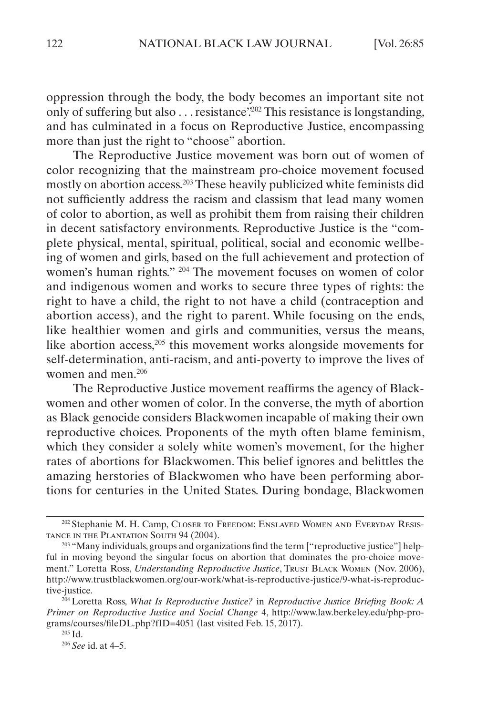oppression through the body, the body becomes an important site not only of suffering but also . . . resistance?<sup>202</sup> This resistance is longstanding, and has culminated in a focus on Reproductive Justice, encompassing more than just the right to "choose" abortion.

The Reproductive Justice movement was born out of women of color recognizing that the mainstream pro-choice movement focused mostly on abortion access.203 These heavily publicized white feminists did not sufficiently address the racism and classism that lead many women of color to abortion, as well as prohibit them from raising their children in decent satisfactory environments. Reproductive Justice is the "complete physical, mental, spiritual, political, social and economic wellbeing of women and girls, based on the full achievement and protection of women's human rights." 204 The movement focuses on women of color and indigenous women and works to secure three types of rights: the right to have a child, the right to not have a child (contraception and abortion access), and the right to parent. While focusing on the ends, like healthier women and girls and communities, versus the means, like abortion access,205 this movement works alongside movements for self-determination, anti-racism, and anti-poverty to improve the lives of women and men.<sup>206</sup>

The Reproductive Justice movement reaffirms the agency of Blackwomen and other women of color. In the converse, the myth of abortion as Black genocide considers Blackwomen incapable of making their own reproductive choices. Proponents of the myth often blame feminism, which they consider a solely white women's movement, for the higher rates of abortions for Blackwomen. This belief ignores and belittles the amazing herstories of Blackwomen who have been performing abortions for centuries in the United States. During bondage, Blackwomen

<sup>202</sup> Stephanie M. H. Camp, Closer to Freedom: Enslaved Women and Everyday Resistance in the Plantation South 94 (2004).

<sup>&</sup>lt;sup>203</sup> "Many individuals, groups and organizations find the term ["reproductive justice"] helpful in moving beyond the singular focus on abortion that dominates the pro-choice movement." Loretta Ross, *Understanding Reproductive Justice*, Trust Black Women (Nov. 2006), http://www.trustblackwomen.org/our-work/what-is-reproductive-justice/9-what-is-reproductive-justice.

<sup>204</sup> Loretta Ross, *What Is Reproductive Justice?* in *Reproductive Justice Briefing Book: A Primer on Reproductive Justice and Social Change* 4, http://www.law.berkeley.edu/php-programs/courses/fileDL.php?fID=4051 (last visited Feb. 15, 2017).

<sup>205</sup> Id.

<sup>206</sup> *See* id. at 4–5.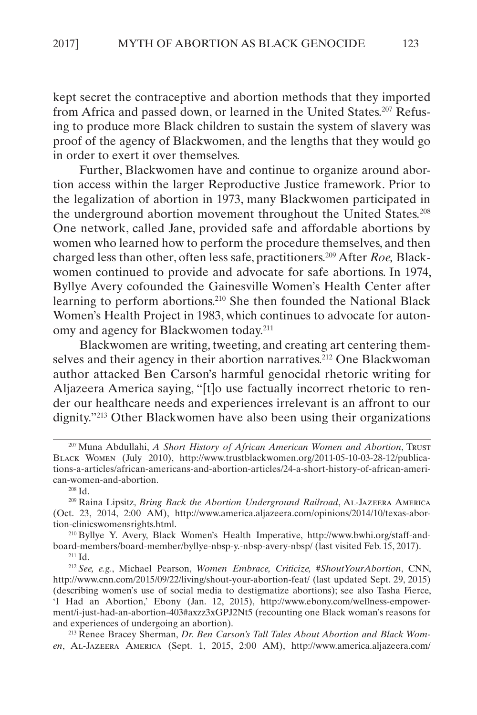kept secret the contraceptive and abortion methods that they imported from Africa and passed down, or learned in the United States.207 Refusing to produce more Black children to sustain the system of slavery was proof of the agency of Blackwomen, and the lengths that they would go in order to exert it over themselves.

Further, Blackwomen have and continue to organize around abortion access within the larger Reproductive Justice framework. Prior to the legalization of abortion in 1973, many Blackwomen participated in the underground abortion movement throughout the United States.<sup>208</sup> One network, called Jane, provided safe and affordable abortions by women who learned how to perform the procedure themselves, and then charged less than other, often less safe, practitioners.209 After *Roe,* Blackwomen continued to provide and advocate for safe abortions. In 1974, Byllye Avery cofounded the Gainesville Women's Health Center after learning to perform abortions.210 She then founded the National Black Women's Health Project in 1983, which continues to advocate for autonomy and agency for Blackwomen today.211

Blackwomen are writing, tweeting, and creating art centering themselves and their agency in their abortion narratives.<sup>212</sup> One Blackwoman author attacked Ben Carson's harmful genocidal rhetoric writing for Aljazeera America saying, "[t]o use factually incorrect rhetoric to render our healthcare needs and experiences irrelevant is an affront to our dignity."213 Other Blackwomen have also been using their organizations

<sup>210</sup> Byllye Y. Avery, Black Women's Health Imperative, http://www.bwhi.org/staff-andboard-members/board-member/byllye-nbsp-y.-nbsp-avery-nbsp/ (last visited Feb. 15, 2017).

<sup>213</sup> Renee Bracey Sherman, *Dr. Ben Carson's Tall Tales About Abortion and Black Women*, Al-Jazeera America (Sept. 1, 2015, 2:00 AM), http://www.america.aljazeera.com/

<sup>207</sup> Muna Abdullahi, *A Short History of African American Women and Abortion*, Trust Black Women (July 2010), http://www.trustblackwomen.org/2011-05-10-03-28-12/publications-a-articles/african-americans-and-abortion-articles/24-a-short-history-of-african-american-women-and-abortion.

<sup>208</sup> Id.

<sup>209</sup> Raina Lipsitz, *Bring Back the Abortion Underground Railroad*, Al-Jazeera America (Oct. 23, 2014, 2:00 AM), http://www.america.aljazeera.com/opinions/2014/10/texas-abortion-clinicswomensrights.html.

<sup>211</sup> Id.

<sup>212</sup> *See, e.g.*, Michael Pearson, *Women Embrace, Criticize, #ShoutYourAbortion*, CNN, http://www.cnn.com/2015/09/22/living/shout-your-abortion-feat/ (last updated Sept. 29, 2015) (describing women's use of social media to destigmatize abortions); see also Tasha Fierce, 'I Had an Abortion,' Ebony (Jan. 12, 2015), http://www.ebony.com/wellness-empowerment/i-just-had-an-abortion-403#axzz3xGPJ2Nt5 (recounting one Black woman's reasons for and experiences of undergoing an abortion).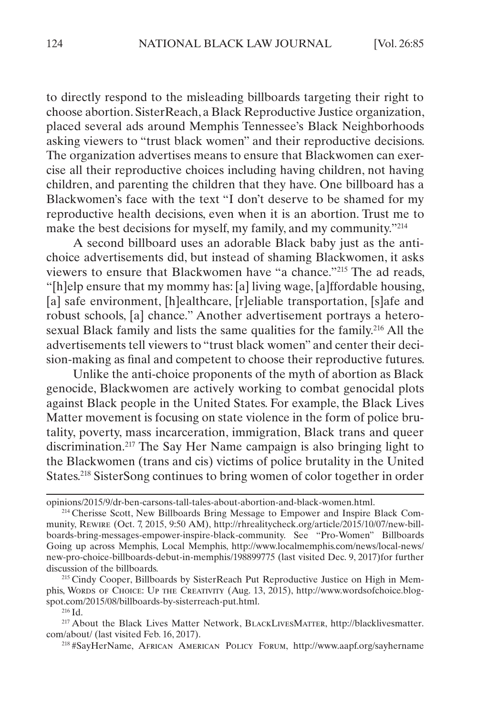to directly respond to the misleading billboards targeting their right to choose abortion. SisterReach, a Black Reproductive Justice organization, placed several ads around Memphis Tennessee's Black Neighborhoods asking viewers to "trust black women" and their reproductive decisions. The organization advertises means to ensure that Blackwomen can exercise all their reproductive choices including having children, not having children, and parenting the children that they have. One billboard has a Blackwomen's face with the text "I don't deserve to be shamed for my reproductive health decisions, even when it is an abortion. Trust me to make the best decisions for myself, my family, and my community."<sup>214</sup>

A second billboard uses an adorable Black baby just as the antichoice advertisements did, but instead of shaming Blackwomen, it asks viewers to ensure that Blackwomen have "a chance."215 The ad reads, "[h]elp ensure that my mommy has: [a] living wage, [a]ffordable housing, [a] safe environment, [h]ealthcare, [r]eliable transportation, [s] afe and robust schools, [a] chance." Another advertisement portrays a heterosexual Black family and lists the same qualities for the family.<sup>216</sup> All the advertisements tell viewers to "trust black women" and center their decision-making as final and competent to choose their reproductive futures.

Unlike the anti-choice proponents of the myth of abortion as Black genocide, Blackwomen are actively working to combat genocidal plots against Black people in the United States. For example, the Black Lives Matter movement is focusing on state violence in the form of police brutality, poverty, mass incarceration, immigration, Black trans and queer discrimination.217 The Say Her Name campaign is also bringing light to the Blackwomen (trans and cis) victims of police brutality in the United States.218 SisterSong continues to bring women of color together in order

<sup>216</sup> Id.

<sup>217</sup> About the Black Lives Matter Network, BlackLivesMatter, http://blacklivesmatter. com/about/ (last visited Feb. 16, 2017).

<sup>218</sup> #SayHerName, African American Policy Forum, http://www.aapf.org/sayhername

opinions/2015/9/dr-ben-carsons-tall-tales-about-abortion-and-black-women.html.

<sup>214</sup> Cherisse Scott, New Billboards Bring Message to Empower and Inspire Black Community, Rewire (Oct. 7, 2015, 9:50 AM), http://rhrealitycheck.org/article/2015/10/07/new-billboards-bring-messages-empower-inspire-black-community. See "Pro-Women" Billboards Going up across Memphis, Local Memphis, http://www.localmemphis.com/news/local-news/ new-pro-choice-billboards-debut-in-memphis/198899775 (last visited Dec. 9, 2017)for further discussion of the billboards.

<sup>&</sup>lt;sup>215</sup> Cindy Cooper, Billboards by SisterReach Put Reproductive Justice on High in Memphis, Words of Choice: Up the Creativity (Aug. 13, 2015), http://www.wordsofchoice.blogspot.com/2015/08/billboards-by-sisterreach-put.html.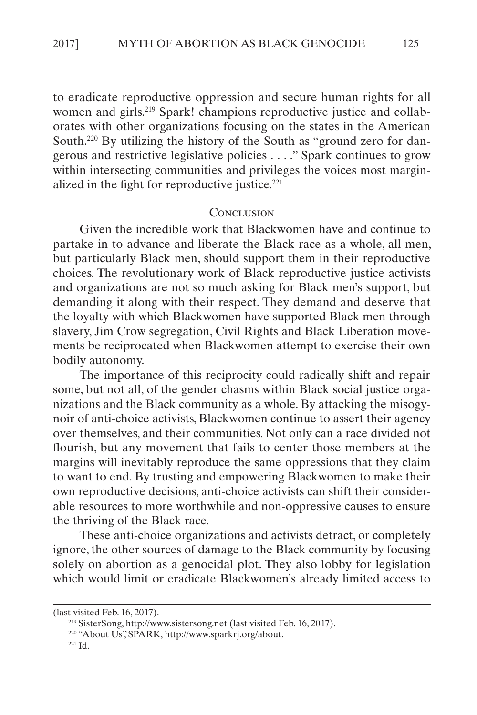<span id="page-41-0"></span>to eradicate reproductive oppression and secure human rights for all women and girls.<sup>219</sup> Spark! champions reproductive justice and collaborates with other organizations focusing on the states in the American South.220 By utilizing the history of the South as "ground zero for dangerous and restrictive legislative policies . . . ." Spark continues to grow within intersecting communities and privileges the voices most marginalized in the fight for reproductive justice.<sup>221</sup>

#### **CONCLUSION**

Given the incredible work that Blackwomen have and continue to partake in to advance and liberate the Black race as a whole, all men, but particularly Black men, should support them in their reproductive choices. The revolutionary work of Black reproductive justice activists and organizations are not so much asking for Black men's support, but demanding it along with their respect. They demand and deserve that the loyalty with which Blackwomen have supported Black men through slavery, Jim Crow segregation, Civil Rights and Black Liberation movements be reciprocated when Blackwomen attempt to exercise their own bodily autonomy.

The importance of this reciprocity could radically shift and repair some, but not all, of the gender chasms within Black social justice organizations and the Black community as a whole. By attacking the misogynoir of anti-choice activists, Blackwomen continue to assert their agency over themselves, and their communities. Not only can a race divided not flourish, but any movement that fails to center those members at the margins will inevitably reproduce the same oppressions that they claim to want to end. By trusting and empowering Blackwomen to make their own reproductive decisions, anti-choice activists can shift their considerable resources to more worthwhile and non-oppressive causes to ensure the thriving of the Black race.

These anti-choice organizations and activists detract, or completely ignore, the other sources of damage to the Black community by focusing solely on abortion as a genocidal plot. They also lobby for legislation which would limit or eradicate Blackwomen's already limited access to

<sup>(</sup>last visited Feb. 16, 2017).

<sup>219</sup> SisterSong, http://www.sistersong.net (last visited Feb. 16, 2017).

<sup>220</sup> "About Us", SPARK, http://www.sparkrj.org/about.

<sup>221</sup> Id.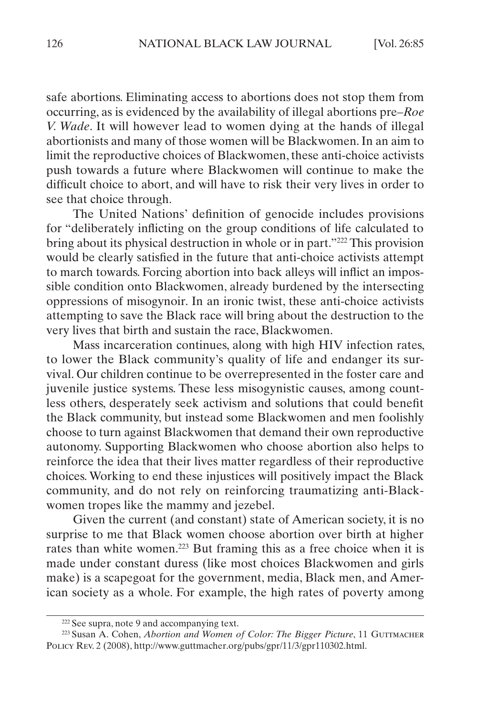safe abortions. Eliminating access to abortions does not stop them from occurring, as is evidenced by the availability of illegal abortions pre–*Roe V. Wade*. It will however lead to women dying at the hands of illegal abortionists and many of those women will be Blackwomen. In an aim to limit the reproductive choices of Blackwomen, these anti-choice activists push towards a future where Blackwomen will continue to make the difficult choice to abort, and will have to risk their very lives in order to see that choice through.

The United Nations' definition of genocide includes provisions for "deliberately inflicting on the group conditions of life calculated to bring about its physical destruction in whole or in part."222 This provision would be clearly satisfied in the future that anti-choice activists attempt to march towards. Forcing abortion into back alleys will inflict an impossible condition onto Blackwomen, already burdened by the intersecting oppressions of misogynoir. In an ironic twist, these anti-choice activists attempting to save the Black race will bring about the destruction to the very lives that birth and sustain the race, Blackwomen.

Mass incarceration continues, along with high HIV infection rates, to lower the Black community's quality of life and endanger its survival. Our children continue to be overrepresented in the foster care and juvenile justice systems. These less misogynistic causes, among countless others, desperately seek activism and solutions that could benefit the Black community, but instead some Blackwomen and men foolishly choose to turn against Blackwomen that demand their own reproductive autonomy. Supporting Blackwomen who choose abortion also helps to reinforce the idea that their lives matter regardless of their reproductive choices. Working to end these injustices will positively impact the Black community, and do not rely on reinforcing traumatizing anti-Blackwomen tropes like the mammy and jezebel.

Given the current (and constant) state of American society, it is no surprise to me that Black women choose abortion over birth at higher rates than white women.223 But framing this as a free choice when it is made under constant duress (like most choices Blackwomen and girls make) is a scapegoat for the government, media, Black men, and American society as a whole. For example, the high rates of poverty among

<sup>222</sup> See supra, note 9 and accompanying text.

<sup>&</sup>lt;sup>223</sup> Susan A. Cohen, *Abortion and Women of Color: The Bigger Picture*, 11 GUTTMACHER Policy Rev. 2 (2008), http://www.guttmacher.org/pubs/gpr/11/3/gpr110302.html.